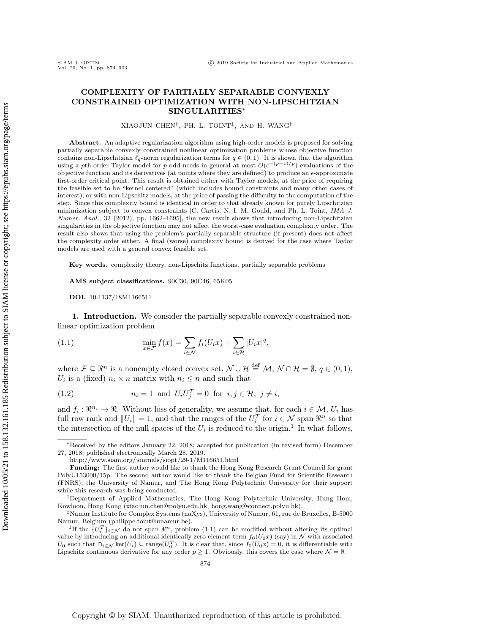## COMPLEXITY OF PARTIALLY SEPARABLE CONVEXLY CONSTRAINED OPTIMIZATION WITH NON-LIPSCHITZIAN SINGULARITIES<sup>∗</sup>

XIAOJUN CHEN† , PH. L. TOINT‡ , AND H. WANG†

Abstract. An adaptive regularization algorithm using high-order models is proposed for solving partially separable convexly constrained nonlinear optimization problems whose objective function contains non-Lipschitzian  $\ell_q$ -norm regularization terms for  $q \in (0, 1)$ . It is shown that the algorithm using a pth-order Taylor model for p odd needs in general at most  $O(\epsilon^{-(p+1)/p})$  evaluations of the objective function and its derivatives (at points where they are defined) to produce an  $\epsilon$ -approximate first-order critical point. This result is obtained either with Taylor models, at the price of requiring the feasible set to be "kernel centered" (which includes bound constraints and many other cases of interest), or with non-Lipschitz models, at the price of passing the difficulty to the computation of the step. Since this complexity bound is identical in order to that already known for purely Lipschitzian minimization subject to convex constraints [C. Cartis, N. I. M. Gould, and Ph. L. Toint, IMA J. Numer. Anal., 32 (2012), pp. 1662–1695], the new result shows that introducing non-Lipschitzian singularities in the objective function may not affect the worst-case evaluation complexity order. The result also shows that using the problem's partially separable structure (if present) does not affect the complexity order either. A final (worse) complexity bound is derived for the case where Taylor models are used with a general convex feasible set.

Key words. complexity theory, non-Lipschitz functions, partially separable problems

AMS subject classifications. 90C30, 90C46, 65K05

<span id="page-0-1"></span>DOI. 10.1137/18M1166511

1. Introduction. We consider the partially separable convexly constrained nonlinear optimization problem

(1.1) 
$$
\min_{x \in \mathcal{F}} f(x) = \sum_{i \in \mathcal{N}} f_i(U_i x) + \sum_{i \in \mathcal{H}} |U_i x|^q,
$$

where  $\mathcal{F} \subseteq \Re^n$  is a nonempty closed convex set,  $\mathcal{N} \cup \mathcal{H} \stackrel{\text{def}}{=} \mathcal{M}, \mathcal{N} \cap \mathcal{H} = \emptyset, q \in (0, 1),$  $U_i$  is a (fixed)  $n_i \times n$  matrix with  $n_i \leq n$  and such that

<span id="page-0-2"></span>(1.2) 
$$
n_i = 1 \text{ and } U_i U_j^T = 0 \text{ for } i, j \in \mathcal{H}, j \neq i,
$$

and  $f_i: \mathbb{R}^{n_i} \to \mathbb{R}$ . Without loss of generality, we assume that, for each  $i \in \mathcal{M}$ ,  $U_i$  has full row rank and  $||U_i|| = 1$ , and that the ranges of the  $U_i^T$  for  $i \in \mathcal{N}$  span  $\Re^n$  so that the intersection of the null spaces of the  $U_i$  is reduced to the origin.<sup>[1](#page-0-0)</sup> In what follows,

<sup>∗</sup>Received by the editors January 22, 2018; accepted for publication (in revised form) December 27, 2018; published electronically March 28, 2019.

<http://www.siam.org/journals/siopt/29-1/M116651.html>

Funding: The first author would like to thank the Hong Kong Research Grant Council for grant PolyU153000/15p. The second author would like to thank the Belgian Fund for Scientific Research (FNRS), the University of Namur, and The Hong Kong Polytechnic University for their support while this research was being conducted.

<sup>†</sup>Department of Applied Mathematics, The Hong Kong Polytechnic University, Hung Hom, Kowloon, Hong Kong [\(xiaojun.chen@polyu.edu.hk,](mailto:xiaojun.chen@polyu.edu.hk) [hong.wang@connect.polyu.hk\)](mailto:hong.wang@connect.polyu.hk).

<sup>‡</sup>Namur Institute for Complex Systems (naXys), University of Namur, 61, rue de Bruxelles, B-5000 Namur, Belgium [\(philippe.toint@unamur.be\)](mailto:philippe.toint@unamur.be).

<span id="page-0-0"></span><sup>&</sup>lt;sup>1</sup>If the  $\{U_i^T\}_{i\in\mathcal{N}}$  do not span  $\mathbb{R}^n$ , problem [\(1.1\)](#page-0-1) can be modified without altering its optimal value by introducing an additional identically zero element term  $f_0(U_0x)$  (say) in N with associated U<sub>0</sub> such that  $\bigcap_{i\in\mathcal{N}}\ker(U_i)\subseteq \text{range}(U_0^T)$ . It is clear that, since  $f_0(U_0x)=0$ , it is differentiable with Lipschitz continuous derivative for any order  $p \geq 1$ . Obviously, this covers the case where  $\mathcal{N} = \emptyset$ .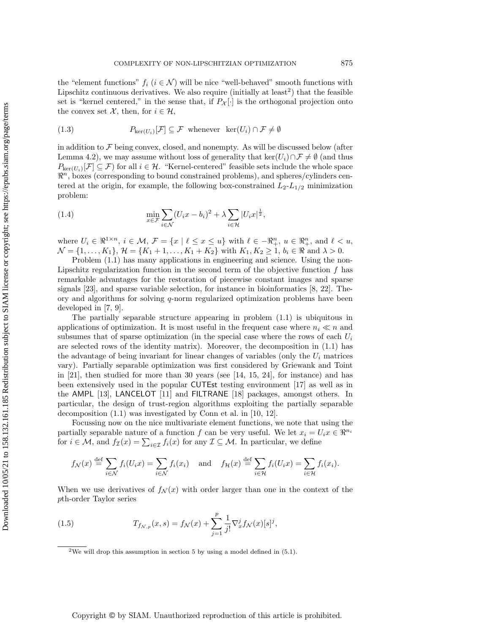the "element functions"  $f_i$   $(i \in \mathcal{N})$  will be nice "well-behaved" smooth functions with Lipschitz continuous derivatives. We also require (initially at least<sup>[2](#page-1-0)</sup>) that the feasible set is "kernel centered," in the sense that, if  $P_{\mathcal{X}}[\cdot]$  is the orthogonal projection onto the convex set X, then, for  $i \in \mathcal{H}$ ,

<span id="page-1-2"></span>(1.3) 
$$
P_{\ker(U_i)}[\mathcal{F}] \subseteq \mathcal{F} \text{ whenever } \ker(U_i) \cap \mathcal{F} \neq \emptyset
$$

in addition to  $\mathcal F$  being convex, closed, and nonempty. As will be discussed below (after Lemma [4.2\)](#page-11-0), we may assume without loss of generality that ker( $U_i$ )∩ $\mathcal{F} \neq \emptyset$  (and thus  $P_{\text{ker}(U_i)}[\mathcal{F}] \subseteq \mathcal{F}$  for all  $i \in \mathcal{H}$ . "Kernel-centered" feasible sets include the whole space  $\mathbb{R}^n$ , boxes (corresponding to bound constrained problems), and spheres/cylinders centered at the origin, for example, the following box-constrained  $L_2-L_{1/2}$  minimization problem:

(1.4) 
$$
\min_{x \in \mathcal{F}} \sum_{i \in \mathcal{N}} (U_i x - b_i)^2 + \lambda \sum_{i \in \mathcal{H}} |U_i x|^{\frac{1}{2}},
$$

where  $U_i \in \mathbb{R}^{1 \times n}$ ,  $i \in \mathcal{M}$ ,  $\mathcal{F} = \{x \mid \ell \leq x \leq u\}$  with  $\ell \in \mathbb{R}^n_+$ ,  $u \in \mathbb{R}^n_+$ , and  $\ell < u$ ,  $\mathcal{N} = \{1, \ldots, K_1\}, \, \mathcal{H} = \{K_1 + 1, \ldots, K_1 + K_2\} \text{ with } K_1, K_2 \geq 1, \, b_i \in \Re \text{ and } \lambda > 0.$ 

Problem  $(1.1)$  has many applications in engineering and science. Using the non-Lipschitz regularization function in the second term of the objective function  $f$  has remarkable advantages for the restoration of piecewise constant images and sparse signals [\[23\]](#page-29-0), and sparse variable selection, for instance in bioinformatics [\[8,](#page-29-1) [22\]](#page-29-2). Theory and algorithms for solving  $q$ -norm regularized optimization problems have been developed in [\[7,](#page-29-3) [9\]](#page-29-4).

The partially separable structure appearing in problem [\(1.1\)](#page-0-1) is ubiquitous in applications of optimization. It is most useful in the frequent case where  $n_i \ll n$  and subsumes that of sparse optimization (in the special case where the rows of each  $U_i$ are selected rows of the identity matrix). Moreover, the decomposition in [\(1.1\)](#page-0-1) has the advantage of being invariant for linear changes of variables (only the  $U_i$  matrices vary). Partially separable optimization was first considered by Griewank and Toint in [\[21\]](#page-29-5), then studied for more than 30 years (see [\[14,](#page-29-6) [15,](#page-29-7) [24\]](#page-29-8), for instance) and has been extensively used in the popular CUTEst testing environment [\[17\]](#page-29-9) as well as in the AMPL [\[13\]](#page-29-10), LANCELOT [\[11\]](#page-29-11) and FILTRANE [\[18\]](#page-29-12) packages, amongst others. In particular, the design of trust-region algorithms exploiting the partially separable decomposition [\(1.1\)](#page-0-1) was investigated by Conn et al. in [\[10,](#page-29-13) [12\]](#page-29-14).

Focussing now on the nice multivariate element functions, we note that using the partially separable nature of a function f can be very useful. We let  $x_i = U_i x \in \mathbb{R}^{n_i}$ for  $i \in \mathcal{M}$ , and  $f_{\mathcal{I}}(x) = \sum_{i \in \mathcal{I}} f_i(x)$  for any  $\mathcal{I} \subseteq \mathcal{M}$ . In particular, we define

$$
f_{\mathcal{N}}(x) \stackrel{\text{def}}{=} \sum_{i \in \mathcal{N}} f_i(U_i x) = \sum_{i \in \mathcal{N}} f_i(x_i) \text{ and } f_{\mathcal{H}}(x) \stackrel{\text{def}}{=} \sum_{i \in \mathcal{H}} f_i(U_i x) = \sum_{i \in \mathcal{H}} f_i(x_i).
$$

When we use derivatives of  $f_N(x)$  with order larger than one in the context of the pth-order Taylor series

(1.5) 
$$
T_{f_{\mathcal{N},p}}(x,s) = f_{\mathcal{N}}(x) + \sum_{j=1}^{p} \frac{1}{j!} \nabla_x^j f_{\mathcal{N}}(x) [s]^j,
$$

<span id="page-1-1"></span><span id="page-1-0"></span><sup>2</sup>We will drop this assumption in section [5](#page-25-0) by using a model defined in  $(5.1)$ .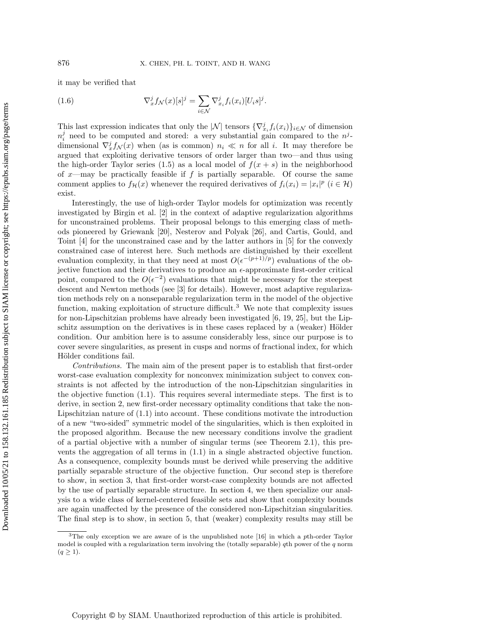it may be verified that

<span id="page-2-1"></span>(1.6) 
$$
\nabla_x^j f_{\mathcal{N}}(x)[s]^j = \sum_{i \in \mathcal{N}} \nabla_{x_i}^j f_i(x_i)[U_i s]^j.
$$

This last expression indicates that only the  $|\mathcal{N}|$  tensors  $\{\nabla_{x_i}^j f_i(x_i)\}_{i\in\mathcal{N}}$  of dimension  $n_i^j$  need to be computed and stored: a very substantial gain compared to the  $n^j$ dimensional  $\nabla_x^j f_{\mathcal{N}}(x)$  when (as is common)  $n_i \ll n$  for all i. It may therefore be argued that exploiting derivative tensors of order larger than two—and thus using the high-order Taylor series [\(1.5\)](#page-1-1) as a local model of  $f(x + s)$  in the neighborhood of x—may be practically feasible if f is partially separable. Of course the same comment applies to  $f_{\mathcal{H}}(x)$  whenever the required derivatives of  $f_i(x_i) = |x_i|^p$   $(i \in \mathcal{H})$ exist.

Interestingly, the use of high-order Taylor models for optimization was recently investigated by Birgin et al. [\[2\]](#page-28-0) in the context of adaptive regularization algorithms for unconstrained problems. Their proposal belongs to this emerging class of methods pioneered by Griewank [\[20\]](#page-29-15), Nesterov and Polyak [\[26\]](#page-29-16), and Cartis, Gould, and Toint [\[4\]](#page-29-17) for the unconstrained case and by the latter authors in [\[5\]](#page-29-18) for the convexly constrained case of interest here. Such methods are distinguished by their excellent evaluation complexity, in that they need at most  $O(\epsilon^{-(p+1)/p})$  evaluations of the objective function and their derivatives to produce an  $\epsilon$ -approximate first-order critical point, compared to the  $O(\epsilon^{-2})$  evaluations that might be necessary for the steepest descent and Newton methods (see [\[3\]](#page-29-19) for details). However, most adaptive regularization methods rely on a nonseparable regularization term in the model of the objective function, making exploitation of structure difficult.<sup>[3](#page-2-0)</sup> We note that complexity issues for non-Lipschitzian problems have already been investigated [\[6,](#page-29-20) [19,](#page-29-21) [25\]](#page-29-22), but the Lipschitz assumption on the derivatives is in these cases replaced by a (weaker) Hölder condition. Our ambition here is to assume considerably less, since our purpose is to cover severe singularities, as present in cusps and norms of fractional index, for which Hölder conditions fail.

Contributions. The main aim of the present paper is to establish that first-order worst-case evaluation complexity for nonconvex minimization subject to convex constraints is not affected by the introduction of the non-Lipschitzian singularities in the objective function [\(1.1\)](#page-0-1). This requires several intermediate steps. The first is to derive, in section [2,](#page-3-0) new first-order necessary optimality conditions that take the non-Lipschitzian nature of [\(1.1\)](#page-0-1) into account. These conditions motivate the introduction of a new "two-sided" symmetric model of the singularities, which is then exploited in the proposed algorithm. Because the new necessary conditions involve the gradient of a partial objective with a number of singular terms (see Theorem [2.1\)](#page-3-1), this prevents the aggregation of all terms in [\(1.1\)](#page-0-1) in a single abstracted objective function. As a consequence, complexity bounds must be derived while preserving the additive partially separable structure of the objective function. Our second step is therefore to show, in section [3,](#page-6-0) that first-order worst-case complexity bounds are not affected by the use of partially separable structure. In section [4,](#page-10-0) we then specialize our analysis to a wide class of kernel-centered feasible sets and show that complexity bounds are again unaffected by the presence of the considered non-Lipschitzian singularities. The final step is to show, in section [5,](#page-25-0) that (weaker) complexity results may still be

<span id="page-2-0"></span><sup>3</sup>The only exception we are aware of is the unpublished note [\[16\]](#page-29-23) in which a pth-order Taylor model is coupled with a regularization term involving the (totally separable)  $q$ th power of the  $q$  norm  $(q \geq 1)$ .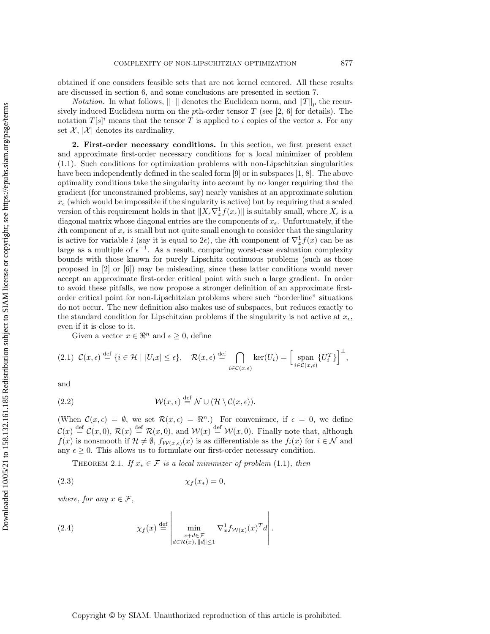obtained if one considers feasible sets that are not kernel centered. All these results are discussed in section [6,](#page-27-0) and some conclusions are presented in section [7.](#page-28-1)

<span id="page-3-0"></span>*Notation.* In what follows,  $\|\cdot\|$  denotes the Euclidean norm, and  $\|T\|_p$  the recursively induced Euclidean norm on the pth-order tensor  $T$  (see [\[2,](#page-28-0) [6\]](#page-29-20) for details). The notation  $T[s]^i$  means that the tensor T is applied to i copies of the vector s. For any set  $\mathcal{X}, |\mathcal{X}|$  denotes its cardinality.

2. First-order necessary conditions. In this section, we first present exact and approximate first-order necessary conditions for a local minimizer of problem [\(1.1\)](#page-0-1). Such conditions for optimization problems with non-Lipschitzian singularities have been independently defined in the scaled form [\[9\]](#page-29-4) or in subspaces [\[1,](#page-28-2) [8\]](#page-29-1). The above optimality conditions take the singularity into account by no longer requiring that the gradient (for unconstrained problems, say) nearly vanishes at an approximate solution  $x_{\epsilon}$  (which would be impossible if the singularity is active) but by requiring that a scaled version of this requirement holds in that  $||X_{\epsilon}\nabla_x^1 f(x_{\epsilon})||$  is suitably small, where  $X_{\epsilon}$  is a diagonal matrix whose diagonal entries are the components of  $x_{\epsilon}$ . Unfortunately, if the ith component of  $x_{\epsilon}$  is small but not quite small enough to consider that the singularity is active for variable i (say it is equal to  $2\epsilon$ ), the ith component of  $\nabla_x^1 f(x)$  can be as large as a multiple of  $\epsilon^{-1}$ . As a result, comparing worst-case evaluation complexity bounds with those known for purely Lipschitz continuous problems (such as those proposed in [\[2\]](#page-28-0) or [\[6\]](#page-29-20)) may be misleading, since these latter conditions would never accept an approximate first-order critical point with such a large gradient. In order to avoid these pitfalls, we now propose a stronger definition of an approximate firstorder critical point for non-Lipschitzian problems where such "borderline" situations do not occur. The new definition also makes use of subspaces, but reduces exactly to the standard condition for Lipschitzian problems if the singularity is not active at  $x_{\epsilon}$ , even if it is close to it. since if the terms of the terms of the terms of the stellar continuos in the path-orient to the set of A,  $|\mathcal{X}|$  theorem that the terms or  $T$  is spelled to it orpits or  $\mathcal{X}$ . Then order the terms of the terms of th

<span id="page-3-4"></span>Given a vector  $x \in \mathbb{R}^n$  and  $\epsilon \geq 0$ , define

$$
(2.1) \ \mathcal{C}(x,\epsilon) \stackrel{\text{def}}{=} \{i \in \mathcal{H} \mid |U_i x| \le \epsilon\}, \quad \mathcal{R}(x,\epsilon) \stackrel{\text{def}}{=} \bigcap_{i \in \mathcal{C}(x,\epsilon)} \ker(U_i) = \Big[\operatorname{span}_{i \in \mathcal{C}(x,\epsilon)} \{U_i^T\}\Big]^{\perp},
$$

and

(2.2) 
$$
\mathcal{W}(x,\epsilon) \stackrel{\text{def}}{=} \mathcal{N} \cup (\mathcal{H} \setminus \mathcal{C}(x,\epsilon)).
$$

(When  $\mathcal{C}(x,\epsilon) = \emptyset$ , we set  $\mathcal{R}(x,\epsilon) = \Re^n$ .) For convenience, if  $\epsilon = 0$ , we define  $\mathcal{C}(x) \stackrel{\text{def}}{=} \mathcal{C}(x,0), \, \mathcal{R}(x) \stackrel{\text{def}}{=} \mathcal{R}(x,0), \text{ and } \mathcal{W}(x) \stackrel{\text{def}}{=} \mathcal{W}(x,0).$  Finally note that, although  $f(x)$  is nonsmooth if  $\mathcal{H} \neq \emptyset$ ,  $f_{\mathcal{W}(x,\epsilon)}(x)$  is as differentiable as the  $f_i(x)$  for  $i \in \mathcal{N}$  and any  $\epsilon \geq 0$ . This allows us to formulate our first-order necessary condition.

<span id="page-3-2"></span><span id="page-3-1"></span>THEOREM 2.1. If  $x_* \in \mathcal{F}$  is a local minimizer of problem [\(1.1\)](#page-0-1), then

$$
\chi_f(x_*) = 0,
$$

where, for any  $x \in \mathcal{F}$ ,

<span id="page-3-3"></span>(2.4) 
$$
\chi_f(x) \stackrel{\text{def}}{=} \left| \min_{\substack{x+d \in \mathcal{F} \\ d \in \mathcal{R}(x), ||d|| \le 1}} \nabla_x^1 f_{\mathcal{W}(x)}(x)^T d \right|.
$$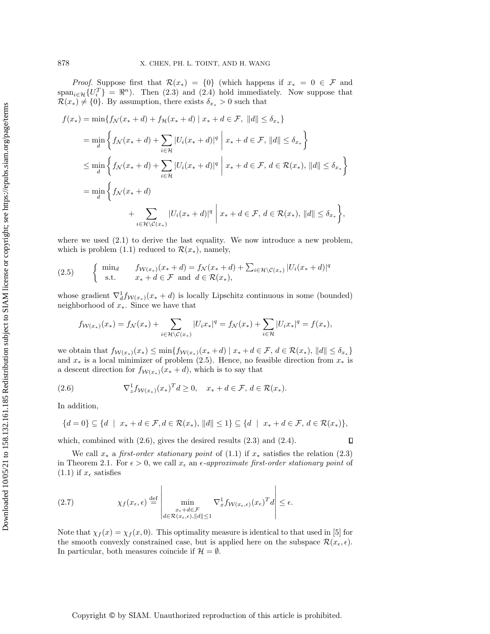*Proof.* Suppose first that  $\mathcal{R}(x_*) = \{0\}$  (which happens if  $x_* = 0 \in \mathcal{F}$  and  $span_{i\in\mathcal{H}}\{U_i^T\} = \Re^n$ ). Then [\(2.3\)](#page-3-2) and [\(2.4\)](#page-3-3) hold immediately. Now suppose that  $\mathcal{R}(x_*) \neq \{0\}$ . By assumption, there exists  $\delta_{x_*} > 0$  such that

$$
f(x_{*}) = \min\{f_{\mathcal{N}}(x_{*} + d) + f_{\mathcal{H}}(x_{*} + d) \mid x_{*} + d \in \mathcal{F}, \|d\| \leq \delta_{x_{*}}\}
$$
  
\n
$$
= \min_{d} \left\{f_{\mathcal{N}}(x_{*} + d) + \sum_{i \in \mathcal{H}} |U_{i}(x_{*} + d)|^{q} \mid x_{*} + d \in \mathcal{F}, \|d\| \leq \delta_{x_{*}}\right\}
$$
  
\n
$$
\leq \min_{d} \left\{f_{\mathcal{N}}(x_{*} + d) + \sum_{i \in \mathcal{H}} |U_{i}(x_{*} + d)|^{q} \mid x_{*} + d \in \mathcal{F}, d \in \mathcal{R}(x_{*}), \|d\| \leq \delta_{x_{*}}\right\}
$$
  
\n
$$
= \min_{d} \left\{f_{\mathcal{N}}(x_{*} + d) + \sum_{i \in \mathcal{H}} |U_{i}(x_{*} + d)|^{q} \mid x_{*} + d \in \mathcal{F}, d \in \mathcal{R}(x_{*}), \|d\| \leq \delta_{x_{*}}\right\},
$$

where we used  $(2.1)$  to derive the last equality. We now introduce a new problem, which is problem [\(1.1\)](#page-0-1) reduced to  $\mathcal{R}(x_*)$ , namely,

<span id="page-4-0"></span>(2.5) 
$$
\begin{cases} \min_{d} & f_{\mathcal{W}(x_*)}(x_*+d) = f_{\mathcal{N}}(x_*+d) + \sum_{i \in \mathcal{H} \setminus \mathcal{C}(x_*)} |U_i(x_*+d)|^q \\ \text{s.t.} & x_* + d \in \mathcal{F} \text{ and } d \in \mathcal{R}(x_*), \end{cases}
$$

whose gradient  $\nabla_d^1 f_{\mathcal{W}(x_*)}(x_* + d)$  is locally Lipschitz continuous in some (bounded) neighborhood of x∗. Since we have that

$$
f_{\mathcal{W}(x_*)}(x_*) = f_{\mathcal{N}}(x_*) + \sum_{i \in \mathcal{H} \setminus \mathcal{C}(x_*)} |U_i x_*|^q = f_{\mathcal{N}}(x_*) + \sum_{i \in \mathcal{H}} |U_i x_*|^q = f(x_*),
$$

we obtain that  $f_{\mathcal{W}(x_*)}(x_*) \leq \min\{f_{\mathcal{W}(x_*)}(x_*+d) \mid x_*+d \in \mathcal{F}, d \in \mathcal{R}(x_*), ||d|| \leq \delta_{x_*}\}$ and  $x_*$  is a local minimizer of problem [\(2.5\)](#page-4-0). Hence, no feasible direction from  $x_*$  is a descent direction for  $f_{W(x_*)}(x_* + d)$ , which is to say that

<span id="page-4-1"></span>(2.6) 
$$
\nabla_z^1 f_{\mathcal{W}(x_*)}(x_*)^T d \geq 0, \quad x_* + d \in \mathcal{F}, d \in \mathcal{R}(x_*).
$$

In addition,

Downloaded 10/05/21 to 158.132.161.185 Redistribution subject to SIAM license or copyright; see https://epubs.siam.org/page/terms Downloaded 10/05/21 to 158.132.161.185 Redistribution subject to SIAM license or copyright; see https://epubs.siam.org/page/terms

$$
\{d=0\} \subseteq \{d \mid x_*+d \in \mathcal{F}, d \in \mathcal{R}(x_*), ||d|| \leq 1\} \subseteq \{d \mid x_*+d \in \mathcal{F}, d \in \mathcal{R}(x_*)\},\
$$

which, combined with  $(2.6)$ , gives the desired results  $(2.3)$  and  $(2.4)$ .

We call  $x_*$  a first-order stationary point of [\(1.1\)](#page-0-1) if  $x_*$  satisfies the relation [\(2.3\)](#page-3-2) in Theorem [2.1.](#page-3-1) For  $\epsilon > 0$ , we call  $x_{\epsilon}$  an  $\epsilon$ -approximate first-order stationary point of  $(1.1)$  if  $x_{\epsilon}$  satisfies

 $\overline{1}$ 

(2.7) 
$$
\chi_f(x_{\epsilon}, \epsilon) \stackrel{\text{def}}{=} \left| \min_{\substack{x_{\epsilon} + d \in \mathcal{F} \\ d \in \mathcal{R}(x_{\epsilon}, \epsilon), ||d|| \le 1}} \nabla_x^1 f_{\mathcal{W}(x_{\epsilon}, \epsilon)}(x_{\epsilon})^T d \right| \le \epsilon.
$$

 $\overline{1}$ 

Note that  $\chi_f(x) = \chi_f(x, 0)$ . This optimality measure is identical to that used in [\[5\]](#page-29-18) for the smooth convexly constrained case, but is applied here on the subspace  $\mathcal{R}(x_{\epsilon}, \epsilon)$ . In particular, both measures coincide if  $\mathcal{H} = \emptyset$ .

$$
\Box
$$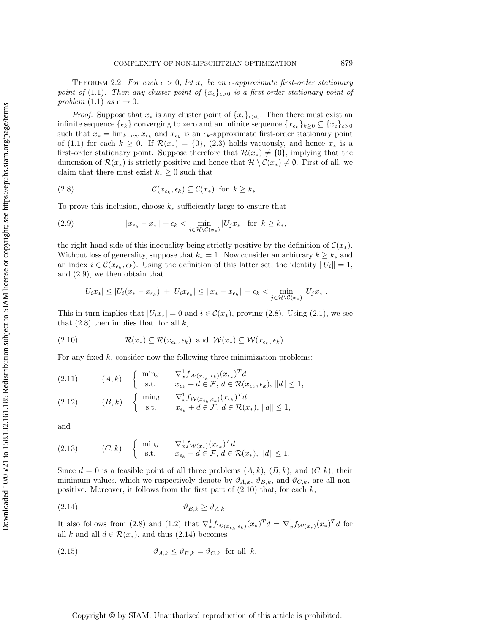THEOREM 2.2. For each  $\epsilon > 0$ , let  $x_{\epsilon}$  be an  $\epsilon$ -approximate first-order stationary point of [\(1.1\)](#page-0-1). Then any cluster point of  $\{x_{\epsilon}\}_{\epsilon>0}$  is a first-order stationary point of problem [\(1.1\)](#page-0-1) as  $\epsilon \to 0$ .

*Proof.* Suppose that  $x_*$  is any cluster point of  $\{x_{\epsilon}\}_{{\epsilon}>0}$ . Then there must exist an infinite sequence  $\{\epsilon_k\}$  converging to zero and an infinite sequence  $\{x_{\epsilon_k}\}_{k\geq 0} \subseteq \{x_{\epsilon}\}_{\epsilon>0}$ such that  $x_* = \lim_{k \to \infty} x_{\epsilon_k}$  and  $x_{\epsilon_k}$  is an  $\epsilon_k$ -approximate first-order stationary point of [\(1.1\)](#page-0-1) for each  $k \geq 0$ . If  $\mathcal{R}(x_*) = \{0\}$ , [\(2.3\)](#page-3-2) holds vacuously, and hence  $x_*$  is a first-order stationary point. Suppose therefore that  $\mathcal{R}(x_*) \neq \{0\}$ , implying that the dimension of  $\mathcal{R}(x_*)$  is strictly positive and hence that  $\mathcal{H} \setminus \mathcal{C}(x_*) \neq \emptyset$ . First of all, we claim that there must exist  $k_* \geq 0$  such that

<span id="page-5-1"></span>(2.8) 
$$
\mathcal{C}(x_{\epsilon_k}, \epsilon_k) \subseteq \mathcal{C}(x_*) \text{ for } k \geq k_*.
$$

To prove this inclusion, choose  $k_*$  sufficiently large to ensure that

<span id="page-5-0"></span>(2.9) 
$$
||x_{\epsilon_k} - x_*|| + \epsilon_k < \min_{j \in \mathcal{H} \setminus \mathcal{C}(x_*)} |U_j x_*| \text{ for } k \ge k_*,
$$

the right-hand side of this inequality being strictly positive by the definition of  $\mathcal{C}(x_*)$ . Without loss of generality, suppose that  $k_* = 1$ . Now consider an arbitrary  $k \geq k_*$  and an index  $i \in \mathcal{C}(x_{\epsilon_k}, \epsilon_k)$ . Using the definition of this latter set, the identity  $||U_i|| = 1$ , and [\(2.9\)](#page-5-0), we then obtain that

<span id="page-5-2"></span>
$$
|U_i x_*| \leq |U_i (x_* - x_{\epsilon_k})| + |U_i x_{\epsilon_k}| \leq ||x_* - x_{\epsilon_k}|| + \epsilon_k < \min_{j \in \mathcal{H} \setminus \mathcal{C}(x_*)} |U_j x_*|.
$$

This in turn implies that  $|U_i x_*| = 0$  and  $i \in \mathcal{C}(x_*)$ , proving [\(2.8\)](#page-5-1). Using [\(2.1\)](#page-3-4), we see that  $(2.8)$  then implies that, for all k,

$$
(2.10) \t\t \mathcal{R}(x_*) \subseteq \mathcal{R}(x_{\epsilon_k}, \epsilon_k) \text{ and } \mathcal{W}(x_*) \subseteq \mathcal{W}(x_{\epsilon_k}, \epsilon_k).
$$

For any fixed  $k$ , consider now the following three minimization problems:

(2.11) 
$$
(A, k) \quad \begin{cases} \min_{d} & \nabla_x^1 f_{\mathcal{W}(x_{\epsilon_k}, \epsilon_k)}(x_{\epsilon_k})^T d \\ \text{s.t.} & x_{\epsilon_k} + d \in \mathcal{F}, d \in \mathcal{R}(x_{\epsilon_k}, \epsilon_k), ||d|| \le 1, \end{cases}
$$
  
\n(2.12) 
$$
(B, k) \quad \begin{cases} \min_{d} & \nabla_x^1 f_{\mathcal{W}(x_{\epsilon_k}, \epsilon_k)}(x_{\epsilon_k})^T d \\ \text{s.t.} & x_{\epsilon_k} + d \in \mathcal{F}, d \in \mathcal{R}(x_*), ||d|| \le 1, \end{cases}
$$

and

$$
(2.13) \t(C,k) \t{min_d \t\nabla_x^1 f_{\mathcal{W}(x_*)}(x_{\epsilon_k})^T d \nt_{\epsilon_k} + d \in \mathcal{F}, d \in \mathcal{R}(x_*), ||d|| \le 1}.
$$

Since  $d = 0$  is a feasible point of all three problems  $(A, k)$ ,  $(B, k)$ , and  $(C, k)$ , their minimum values, which we respectively denote by  $\vartheta_{A,k}$ ,  $\vartheta_{B,k}$ , and  $\vartheta_{C,k}$ , are all nonpositive. Moreover, it follows from the first part of  $(2.10)$  that, for each k,

<span id="page-5-3"></span>
$$
\vartheta_{B,k} \ge \vartheta_{A,k}.
$$

It also follows from [\(2.8\)](#page-5-1) and [\(1.2\)](#page-0-2) that  $\nabla_x^1 f_{\mathcal{W}(x_{\epsilon_k}, \epsilon_k)}(x_*)^T d = \nabla_x^1 f_{\mathcal{W}(x_*)}(x_*)^T d$  for all k and all  $d \in \mathcal{R}(x_*)$ , and thus  $(2.14)$  becomes

<span id="page-5-4"></span>(2.15) 
$$
\vartheta_{A,k} \leq \vartheta_{B,k} = \vartheta_{C,k} \text{ for all } k.
$$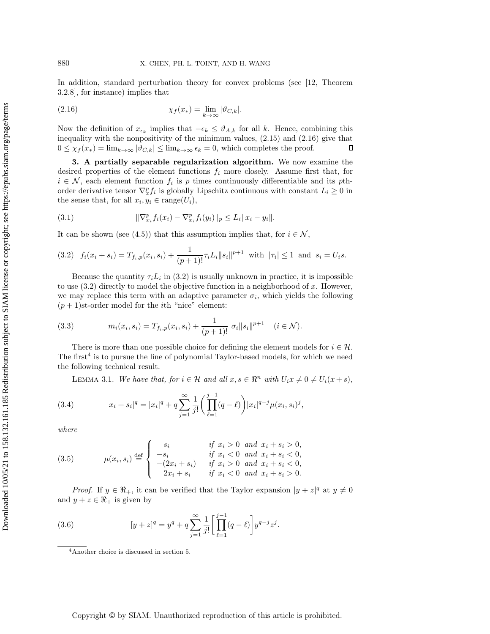In addition, standard perturbation theory for convex problems (see [\[12,](#page-29-14) Theorem 3.2.8], for instance) implies that

<span id="page-6-1"></span>(2.16) 
$$
\chi_f(x_*) = \lim_{k \to \infty} |\vartheta_{C,k}|.
$$

Now the definition of  $x_{\epsilon_k}$  implies that  $-\epsilon_k \leq \vartheta_{A,k}$  for all k. Hence, combining this inequality with the nonpositivity of the minimum values, [\(2.15\)](#page-5-4) and [\(2.16\)](#page-6-1) give that  $0 \leq \chi_f(x_*) = \lim_{k \to \infty} |\vartheta_{C,k}| \leq \lim_{k \to \infty} \epsilon_k = 0$ , which completes the proof.  $\Box$ 

<span id="page-6-0"></span>3. A partially separable regularization algorithm. We now examine the desired properties of the element functions  $f_i$  more closely. Assume first that, for  $i \in \mathcal{N}$ , each element function  $f_i$  is p times continuously differentiable and its pthorder derivative tensor  $\nabla_x^p f_i$  is globally Lipschitz continuous with constant  $L_i \geq 0$  in the sense that, for all  $x_i, y_i \in \text{range}(U_i)$ ,

<span id="page-6-7"></span>(3.1) 
$$
\|\nabla_{x_i}^p f_i(x_i) - \nabla_{x_i}^p f_i(y_i)\|_p \le L_i \|x_i - y_i\|.
$$

It can be shown (see [\(4.5\)](#page-12-0)) that this assumption implies that, for  $i \in \mathcal{N}$ ,

<span id="page-6-2"></span>
$$
(3.2) \quad f_i(x_i + s_i) = T_{f_i, p}(x_i, s_i) + \frac{1}{(p+1)!} \tau_i L_i \|s_i\|^{p+1} \text{ with } |\tau_i| \le 1 \text{ and } s_i = U_i s.
$$

Because the quantity  $\tau_i L_i$  in [\(3.2\)](#page-6-2) is usually unknown in practice, it is impossible to use  $(3.2)$  directly to model the objective function in a neighborhood of x. However, we may replace this term with an adaptive parameter  $\sigma_i$ , which yields the following  $(p+1)$ st-order model for the *i*th "nice" element:

<span id="page-6-8"></span>(3.3) 
$$
m_i(x_i, s_i) = T_{f_i, p}(x_i, s_i) + \frac{1}{(p+1)!} \sigma_i ||s_i||^{p+1} \quad (i \in \mathcal{N}).
$$

There is more than one possible choice for defining the element models for  $i \in \mathcal{H}$ . The first<sup>[4](#page-6-3)</sup> is to pursue the line of polynomial Taylor-based models, for which we need the following technical result.

<span id="page-6-5"></span>LEMMA 3.1. We have that, for  $i \in \mathcal{H}$  and all  $x, s \in \mathbb{R}^n$  with  $U_i x \neq 0 \neq U_i(x + s)$ ,

(3.4) 
$$
|x_i + s_i|^q = |x_i|^q + q \sum_{j=1}^{\infty} \frac{1}{j!} \left( \prod_{\ell=1}^{j-1} (q - \ell) \right) |x_i|^{q-j} \mu(x_i, s_i)^j,
$$

where

<span id="page-6-6"></span>(3.5) 
$$
\mu(x_i, s_i) \stackrel{\text{def}}{=} \begin{cases} s_i & \text{if } x_i > 0 \text{ and } x_i + s_i > 0, \\ -s_i & \text{if } x_i < 0 \text{ and } x_i + s_i < 0, \\ -(2x_i + s_i) & \text{if } x_i > 0 \text{ and } x_i + s_i < 0, \\ 2x_i + s_i & \text{if } x_i < 0 \text{ and } x_i + s_i > 0. \end{cases}
$$

*Proof.* If  $y \in \mathbb{R}_+$ , it can be verified that the Taylor expansion  $|y + z|^q$  at  $y \neq 0$ and  $y + z \in \Re_+$  is given by

(3.6) 
$$
[y+z]^q = y^q + q \sum_{j=1}^{\infty} \frac{1}{j!} \left[ \prod_{\ell=1}^{j-1} (q-\ell) \right] y^{q-j} z^j.
$$

<span id="page-6-4"></span><span id="page-6-3"></span><sup>4</sup>Another choice is discussed in section [5.](#page-25-0)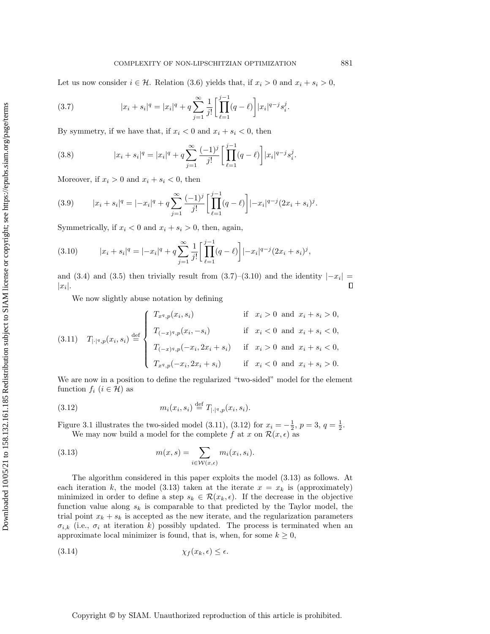Let us now consider  $i \in \mathcal{H}$ . Relation [\(3.6\)](#page-6-4) yields that, if  $x_i > 0$  and  $x_i + s_i > 0$ ,

<span id="page-7-0"></span>(3.7) 
$$
|x_i + s_i|^q = |x_i|^q + q \sum_{j=1}^{\infty} \frac{1}{j!} \left[ \prod_{\ell=1}^{j-1} (q - \ell) \right] |x_i|^{q-j} s_i^j.
$$

By symmetry, if we have that, if  $x_i < 0$  and  $x_i + s_i < 0$ , then

(3.8) 
$$
|x_i + s_i|^q = |x_i|^q + q \sum_{j=1}^{\infty} \frac{(-1)^j}{j!} \left[ \prod_{\ell=1}^{j-1} (q - \ell) \right] |x_i|^{q-j} s_i^j.
$$

Moreover, if  $x_i > 0$  and  $x_i + s_i < 0$ , then

(3.9) 
$$
|x_i + s_i|^q = |-x_i|^q + q \sum_{j=1}^{\infty} \frac{(-1)^j}{j!} \left[ \prod_{\ell=1}^{j-1} (q - \ell) \right] |-x_i|^{q-j} (2x_i + s_i)^j.
$$

Symmetrically, if  $x_i < 0$  and  $x_i + s_i > 0$ , then, again,

<span id="page-7-1"></span>(3.10) 
$$
|x_i + s_i|^q = |-x_i|^q + q \sum_{j=1}^{\infty} \frac{1}{j!} \left[ \prod_{\ell=1}^{j-1} (q - \ell) \right] |-x_i|^{q-j} (2x_i + s_i)^j,
$$

and [\(3.4\)](#page-6-5) and [\(3.5\)](#page-6-6) then trivially result from  $(3.7)-(3.10)$  $(3.7)-(3.10)$  $(3.7)-(3.10)$  and the identity  $|-x_i|=$  $\Box$  $|x_i|.$ 

We now slightly abuse notation by defining

<span id="page-7-2"></span>
$$
(3.11) \quad T_{|\cdot|^q, p}(x_i, s_i) \stackrel{\text{def}}{=} \begin{cases} T_{x^q, p}(x_i, s_i) & \text{if } x_i > 0 \text{ and } x_i + s_i > 0, \\ T_{(-x)^q, p}(x_i, -s_i) & \text{if } x_i < 0 \text{ and } x_i + s_i < 0, \\ T_{(-x)^q, p}(-x_i, 2x_i + s_i) & \text{if } x_i > 0 \text{ and } x_i + s_i < 0, \\ T_{x^q, p}(-x_i, 2x_i + s_i) & \text{if } x_i < 0 \text{ and } x_i + s_i > 0. \end{cases}
$$

We are now in a position to define the regularized "two-sided" model for the element function  $f_i$   $(i \in \mathcal{H})$  as

<span id="page-7-3"></span>(3.12) 
$$
m_i(x_i, s_i) \stackrel{\text{def}}{=} T_{|\cdot|^q, p}(x_i, s_i).
$$

Figure [3.1](#page-8-0) illustrates the two-sided model [\(3.11\)](#page-7-2), [\(3.12\)](#page-7-3) for  $x_i = -\frac{1}{2}$ ,  $p = 3$ ,  $q = \frac{1}{2}$ . We may now build a model for the complete f at x on  $\mathcal{R}(x, \epsilon)$  as

<span id="page-7-4"></span>(3.13) 
$$
m(x,s) = \sum_{i \in \mathcal{W}(x,\epsilon)} m_i(x_i, s_i).
$$

The algorithm considered in this paper exploits the model [\(3.13\)](#page-7-4) as follows. At each iteration k, the model [\(3.13\)](#page-7-4) taken at the iterate  $x = x_k$  is (approximately) minimized in order to define a step  $s_k \in \mathcal{R}(x_k, \epsilon)$ . If the decrease in the objective function value along  $s_k$  is comparable to that predicted by the Taylor model, the trial point  $x_k + s_k$  is accepted as the new iterate, and the regularization parameters  $\sigma_{i,k}$  (i.e.,  $\sigma_i$  at iteration k) possibly updated. The process is terminated when an approximate local minimizer is found, that is, when, for some  $k \geq 0$ ,

(3.14) χ<sup>f</sup> (xk, ) ≤ .

Copyright © by SIAM. Unauthorized reproduction of this article is prohibited.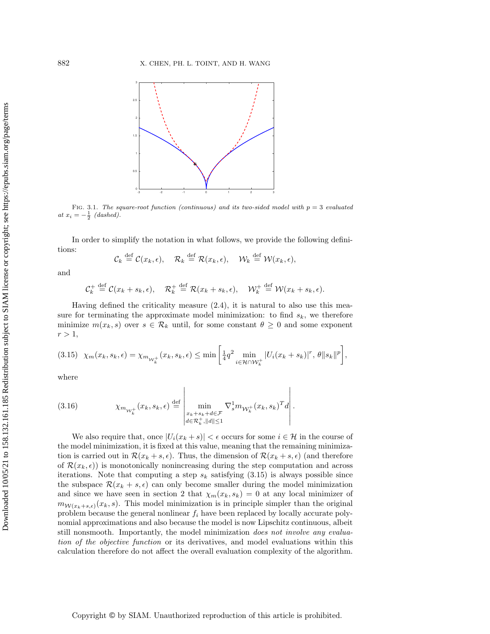<span id="page-8-0"></span>

FIG. 3.1. The square-root function (continuous) and its two-sided model with  $p = 3$  evaluated at  $x_i = -\frac{1}{2}$  (dashed).

In order to simplify the notation in what follows, we provide the following definitions:

$$
\mathcal{C}_k \stackrel{\text{def}}{=} \mathcal{C}(x_k, \epsilon), \quad \mathcal{R}_k \stackrel{\text{def}}{=} \mathcal{R}(x_k, \epsilon), \quad \mathcal{W}_k \stackrel{\text{def}}{=} \mathcal{W}(x_k, \epsilon),
$$

and

$$
\mathcal{C}_k^+ \stackrel{\text{def}}{=} \mathcal{C}(x_k + s_k, \epsilon), \quad \mathcal{R}_k^+ \stackrel{\text{def}}{=} \mathcal{R}(x_k + s_k, \epsilon), \quad \mathcal{W}_k^+ \stackrel{\text{def}}{=} \mathcal{W}(x_k + s_k, \epsilon).
$$

Having defined the criticality measure  $(2.4)$ , it is natural to also use this measure for terminating the approximate model minimization: to find  $s_k$ , we therefore minimize  $m(x_k, s)$  over  $s \in \mathcal{R}_k$  until, for some constant  $\theta \geq 0$  and some exponent  $r > 1$ ,

<span id="page-8-1"></span>
$$
(3.15)\ \ \chi_m(x_k,s_k,\epsilon)=\chi_{m_{\mathcal{W}_k^+}}(x_k,s_k,\epsilon)\leq \min\left[\frac{1}{4}q^2\min_{i\in\mathcal{H}\cap\mathcal{W}_k^+}|U_i(x_k+s_k)|^r,\,\theta\|s_k\|^p\right],
$$

where

<span id="page-8-2"></span>(3.16) 
$$
\chi_{m_{\mathcal{W}_k^+}}(x_k, s_k, \epsilon) \stackrel{\text{def}}{=} \left| \min_{\substack{x_k+s_k+d \in \mathcal{F} \\ d \in \mathcal{R}_k^+, ||d|| \le 1}} \nabla_s^1 m_{\mathcal{W}_k^+}(x_k, s_k)^T d \right|.
$$

We also require that, once  $|U_i(x_k + s)| < \epsilon$  occurs for some  $i \in \mathcal{H}$  in the course of the model minimization, it is fixed at this value, meaning that the remaining minimization is carried out in  $\mathcal{R}(x_k + s, \epsilon)$ . Thus, the dimension of  $\mathcal{R}(x_k + s, \epsilon)$  (and therefore of  $\mathcal{R}(x_k, \epsilon)$  is monotonically nonincreasing during the step computation and across iterations. Note that computing a step  $s_k$  satisfying  $(3.15)$  is always possible since the subspace  $\mathcal{R}(x_k + s, \epsilon)$  can only become smaller during the model minimization and since we have seen in section [2](#page-3-0) that  $\chi_m(x_k, s_k) = 0$  at any local minimizer of  $m_{W(x_k+s,\epsilon)}(x_k, s)$ . This model minimization is in principle simpler than the original problem because the general nonlinear  $f_i$  have been replaced by locally accurate polynomial approximations and also because the model is now Lipschitz continuous, albeit still nonsmooth. Importantly, the model minimization does not involve any evaluation of the objective function or its derivatives, and model evaluations within this calculation therefore do not affect the overall evaluation complexity of the algorithm.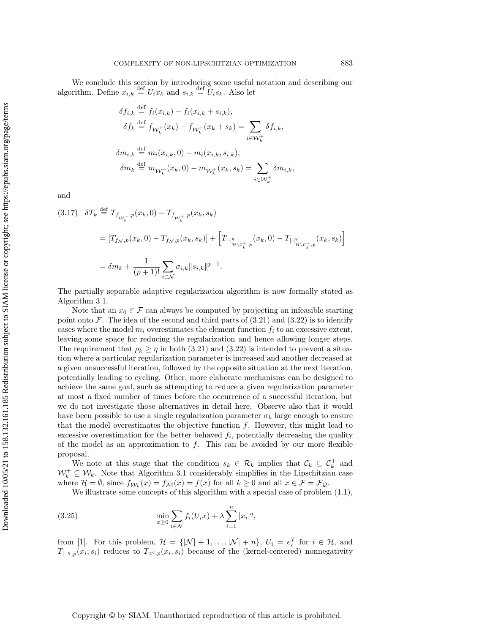We conclude this section by introducing some useful notation and describing our algorithm. Define  $x_{i,k} \stackrel{\text{def}}{=} U_i x_k$  and  $s_{i,k} \stackrel{\text{def}}{=} U_i s_k$ . Also let

$$
\delta f_{i,k} \stackrel{\text{def}}{=} f_i(x_{i,k}) - f_i(x_{i,k} + s_{i,k}),
$$
  
\n
$$
\delta f_k \stackrel{\text{def}}{=} f_{\mathcal{W}_k^+}(x_k) - f_{\mathcal{W}_k^+}(x_k + s_k) = \sum_{i \in \mathcal{W}_k^+} \delta f_{i,k},
$$
  
\n
$$
\delta m_{i,k} \stackrel{\text{def}}{=} m_i(x_{i,k}, 0) - m_i(x_{i,k}, s_{i,k}),
$$
  
\n
$$
\delta m_k \stackrel{\text{def}}{=} m_{\mathcal{W}_k^+}(x_k, 0) - m_{\mathcal{W}_k^+}(x_k, s_k) = \sum_{i \in \mathcal{W}_k^+} \delta m_{i,k},
$$

and

<span id="page-9-0"></span>
$$
(3.17) \quad \delta T_k \stackrel{\text{def}}{=} T_{f_{\mathcal{W}_k^+},p}(x_k,0) - T_{f_{\mathcal{W}_k^+},p}(x_k,s_k)
$$
\n
$$
= [T_{f_{\mathcal{N}},p}(x_k,0) - T_{f_{\mathcal{N}},p}(x_k,s_k)] + \left[T_{|\cdot|^q_{\mathcal{H}\backslash C^+_{k},p}}(x_k,0) - T_{|\cdot|^q_{\mathcal{H}\backslash C^+_{k},p}}(x_k,s_k)\right]
$$
\n
$$
= \delta m_k + \frac{1}{(p+1)!} \sum_{i\in\mathcal{N}} \sigma_{i,k} \|s_{i,k}\|^{p+1}.
$$

The partially separable adaptive regularization algorithm is now formally stated as Algorithm [3.1.](#page-10-1)

Note that an  $x_0 \in \mathcal{F}$  can always be computed by projecting an infeasible starting point onto  $\mathcal F$ . The idea of the second and third parts of [\(3.21\)](#page-10-2) and [\(3.22\)](#page-10-3) is to identify cases where the model  $m_i$  overestimates the element function  $f_i$  to an excessive extent, leaving some space for reducing the regularization and hence allowing longer steps. The requirement that  $\rho_k \geq \eta$  in both [\(3.21\)](#page-10-2) and [\(3.22\)](#page-10-3) is intended to prevent a situation where a particular regularization parameter is increased and another decreased at a given unsuccessful iteration, followed by the opposite situation at the next iteration, potentially leading to cycling. Other, more elaborate mechanisms can be designed to achieve the same goal, such as attempting to reduce a given regularization parameter at most a fixed number of times before the occurrence of a successful iteration, but we do not investigate those alternatives in detail here. Observe also that it would have been possible to use a single regularization parameter  $\sigma_k$  large enough to ensure that the model overestimates the objective function  $f$ . However, this might lead to excessive overestimation for the better behaved  $f_i$ , potentially decreasing the quality of the model as an approximation to  $f$ . This can be avoided by our more flexible proposal.

We note at this stage that the condition  $s_k \in \mathcal{R}_k$  implies that  $\mathcal{C}_k \subseteq \mathcal{C}_k^+$  and  $\mathcal{W}_k^+ \subseteq \mathcal{W}_k$ . Note that Algorithm [3.1](#page-10-1) considerably simplifies in the Lipschitzian case where  $\mathcal{H} = \emptyset$ , since  $f_{\mathcal{W}_k}(x) = f_{\mathcal{M}}(x) = f(x)$  for all  $k \geq 0$  and all  $x \in \mathcal{F} = \mathcal{F}_{\mathcal{Q}}$ .

We illustrate some concepts of this algorithm with a special case of problem  $(1.1)$ ,

(3.25) 
$$
\min_{x \ge 0} \sum_{i \in \mathcal{N}} f_i(U_i x) + \lambda \sum_{i=1}^n |x_i|^q,
$$

from [\[1\]](#page-28-2). For this problem,  $\mathcal{H} = \{ |\mathcal{N}| + 1, ..., |\mathcal{N}| + n \}, U_i = e_i^T$  for  $i \in \mathcal{H}$ , and  $T_{|\cdot|^q,p}(x_i,s_i)$  reduces to  $T_{x^q,p}(x_i,s_i)$  because of the (kernel-centered) nonnegativity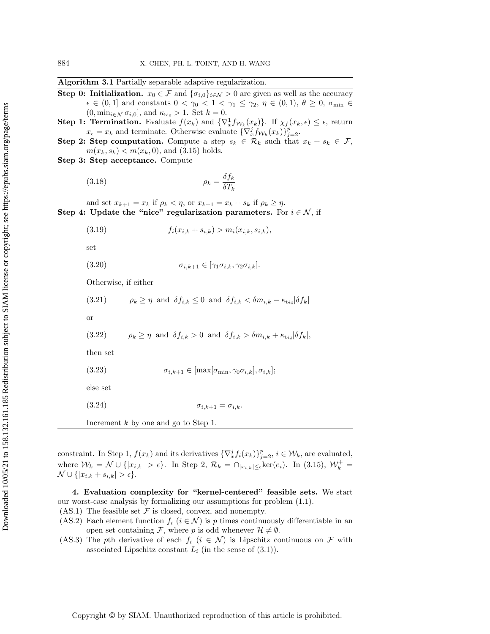|  |  | Algorithm 3.1 Partially separable adaptive regularization. |
|--|--|------------------------------------------------------------|
|  |  |                                                            |

- <span id="page-10-1"></span>Step 0: Initialization.  $x_0 \in \mathcal{F}$  and  $\{\sigma_{i,0}\}_{i \in \mathcal{N}} > 0$  are given as well as the accuracy  $\epsilon \in (0,1]$  and constants  $0 < \gamma_0 < 1 < \gamma_1 \leq \gamma_2, \eta \in (0,1), \theta \geq 0, \sigma_{\min} \in$  $(0, \min_{i \in \mathcal{N}} \sigma_{i,0}],$  and  $\kappa_{\text{big}} > 1$ . Set  $k = 0$ .
- **Step 1: Termination.** Evaluate  $f(x_k)$  and  $\{\nabla_x^1 f_{\mathcal{W}_k}(x_k)\}\$ . If  $\chi_f(x_k, \epsilon) \leq \epsilon$ , return  $x_{\epsilon} = x_k$  and terminate. Otherwise evaluate  $\{\nabla_x^j f_{\mathcal{W}_k}(x_k)\}_{j=2}^p$ .
- **Step 2: Step computation.** Compute a step  $s_k \in \mathcal{R}_k$  such that  $x_k + s_k \in \mathcal{F}$ ,  $m(x_k, s_k) < m(x_k, 0)$ , and [\(3.15\)](#page-8-1) holds.
- Step 3: Step acceptance. Compute

<span id="page-10-4"></span>
$$
\rho_k = \frac{\delta f_k}{\delta T_k}
$$

and set  $x_{k+1} = x_k$  if  $\rho_k < \eta$ , or  $x_{k+1} = x_k + s_k$  if  $\rho_k \geq \eta$ . Step 4: Update the "nice" regularization parameters. For  $i \in \mathcal{N}$ , if

<span id="page-10-6"></span>(3.19) 
$$
f_i(x_{i,k} + s_{i,k}) > m_i(x_{i,k}, s_{i,k}),
$$

set

<span id="page-10-7"></span>(3.20)  $\sigma_{i,k+1} \in [\gamma_1 \sigma_{i,k}, \gamma_2 \sigma_{i,k}].$ 

Otherwise, if either

<span id="page-10-5"></span><span id="page-10-3"></span><span id="page-10-2"></span>(3.21)  $\rho_k \geq \eta$  and  $\delta f_{i,k} \leq 0$  and  $\delta f_{i,k} < \delta m_{i,k} - \kappa_{\text{big}} |\delta f_k|$ or (3.22)  $\rho_k \geq \eta$  and  $\delta f_{i,k} > 0$  and  $\delta f_{i,k} > \delta m_{i,k} + \kappa_{\text{bie}} |\delta f_k|$ , then set (3.23)  $\sigma_{i,k+1} \in [\max[\sigma_{\min}, \gamma_0 \sigma_{i,k}], \sigma_{i,k}];$ else set (3.24)  $\sigma_{i,k+1} = \sigma_{i,k}$ . Increment  $k$  by one and go to Step 1.

constraint. In Step 1,  $f(x_k)$  and its derivatives  $\{\nabla_x^j f_i(x_k)\}_{j=2}^p$ ,  $i \in \mathcal{W}_k$ , are evaluated, where  $W_k = \mathcal{N} \cup \{|x_{i,k}| > \epsilon\}$ . In Step 2,  $\mathcal{R}_k = \bigcap_{|x_{i,k}| \leq \epsilon} \ker(e_i)$ . In [\(3.15\)](#page-8-1),  $\mathcal{W}_k^+ =$  $\mathcal{N} \cup \{|x_{i,k} + s_{i,k}| > \epsilon\}.$ 

<span id="page-10-0"></span>4. Evaluation complexity for "kernel-centered" feasible sets. We start our worst-case analysis by formalizing our assumptions for problem [\(1.1\)](#page-0-1).  $(AS.1)$  The feasible set F is closed, convex, and nonempty.

- (AS.2) Each element function  $f_i$  ( $i \in \mathcal{N}$ ) is p times continuously differentiable in an open set containing F, where p is odd whenever  $\mathcal{H} \neq \emptyset$ .
- (AS.3) The pth derivative of each  $f_i$  ( $i \in \mathcal{N}$ ) is Lipschitz continuous on F with associated Lipschitz constant  $L_i$  (in the sense of  $(3.1)$ ).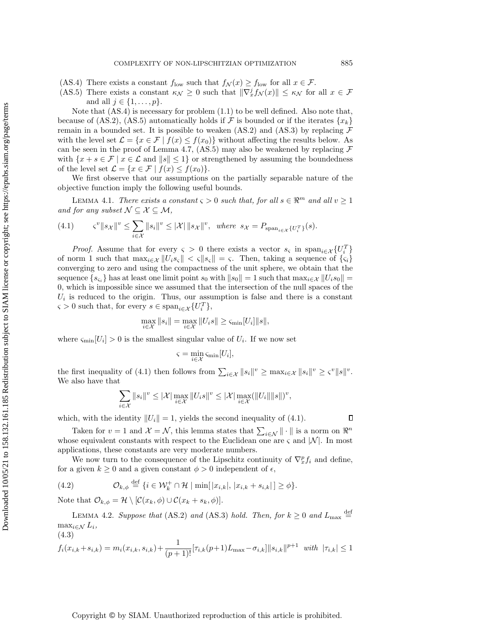Downloaded 10/05/21 to 158.132.161.185 Redistribution subject to SIAM license or copyright; see https://epubs.siam.org/page/terms Downloaded 10/05/21 to 158.132.161.185 Redistribution subject to SIAM license or copyright; see https://epubs.siam.org/page/terms

- (AS.4) There exists a constant  $f_{\text{low}}$  such that  $f_{\mathcal{N}}(x) \ge f_{\text{low}}$  for all  $x \in \mathcal{F}$ .
- (AS.5) There exists a constant  $\kappa_{\mathcal{N}} \geq 0$  such that  $\|\nabla_x^j f_{\mathcal{N}}(x)\| \leq \kappa_{\mathcal{N}}$  for all  $x \in \mathcal{F}$ and all  $j \in \{1, \ldots, p\}$ .

Note that (AS.4) is necessary for problem [\(1.1\)](#page-0-1) to be well defined. Also note that, because of (AS.2), (AS.5) automatically holds if F is bounded or if the iterates  $\{x_k\}$ remain in a bounded set. It is possible to weaken (AS.2) and (AS.3) by replacing  $\mathcal F$ with the level set  $\mathcal{L} = \{x \in \mathcal{F} \mid f(x) \leq f(x_0)\}\$  without affecting the results below. As can be seen in the proof of Lemma [4.7,](#page-16-0) (AS.5) may also be weakened by replacing  $\mathcal F$ with  $\{x + s \in \mathcal{F} \mid x \in \mathcal{L} \text{ and } ||s|| \leq 1\}$  or strengthened by assuming the boundedness of the level set  $\mathcal{L} = \{x \in \mathcal{F} \mid f(x) \leq f(x_0)\}.$ 

We first observe that our assumptions on the partially separable nature of the objective function imply the following useful bounds.

LEMMA 4.1. There exists a constant  $\varsigma > 0$  such that, for all  $s \in \mathbb{R}^m$  and all  $v \ge 1$ and for any subset  $\mathcal{N} \subseteq \mathcal{X} \subseteq \mathcal{M}$ ,

<span id="page-11-1"></span>
$$
(4.1) \qquad \zeta^v \|s_{\mathcal{X}}\|^v \le \sum_{i \in \mathcal{X}} \|s_i\|^v \le |\mathcal{X}| \, \|s_{\mathcal{X}}\|^v, \text{ where } s_{\mathcal{X}} = P_{\text{span}_{i \in \mathcal{X}}\{U_i^T\}}(s).
$$

*Proof.* Assume that for every  $\varsigma > 0$  there exists a vector  $s_{\varsigma}$  in  $\text{span}_{i \in \mathcal{X}} \{U_i^T\}$ of norm 1 such that  $\max_{i \in \mathcal{X}} ||U_i s_{\varsigma}|| < \varsigma ||s_{\varsigma}|| = \varsigma$ . Then, taking a sequence of  $\{\varsigma_i\}$ converging to zero and using the compactness of the unit sphere, we obtain that the sequence  $\{s_{\varsigma_i}\}\$  has at least one limit point  $s_0$  with  $||s_0|| = 1$  such that  $\max_{i \in \mathcal{X}} ||U_i s_0|| =$ 0, which is impossible since we assumed that the intersection of the null spaces of the  $U_i$  is reduced to the origin. Thus, our assumption is false and there is a constant  $\varsigma > 0$  such that, for every  $s \in \text{span}_{i \in \mathcal{X}} \{U_i^T\},\$ 

$$
\max_{i \in \mathcal{X}} ||s_i|| = \max_{i \in \mathcal{X}} ||U_i s|| \ge \varsigma_{\min}[U_i] ||s||,
$$

where  $\varsigma_{\min}[U_i] > 0$  is the smallest singular value of  $U_i$ . If we now set

$$
\varsigma = \min_{i \in \mathcal{X}} \varsigma_{\min}[U_i],
$$

the first inequality of [\(4.1\)](#page-11-1) then follows from  $\sum_{i \in \mathcal{X}} ||s_i||^v \geq \max_{i \in \mathcal{X}} ||s_i||^v \geq \varsigma^v ||s||^v$ . We also have that

$$
\sum_{i\in\mathcal{X}}\|s_i\|^v\leq |\mathcal{X}|\max_{i\in\mathcal{X}}\|U_is\|^v\leq |\mathcal{X}|\max_{i\in\mathcal{X}}(\|U_i\|\|s\|)^v,
$$

which, with the identity  $||U_i|| = 1$ , yields the second inequality of [\(4.1\)](#page-11-1).

Taken for  $v = 1$  and  $\mathcal{X} = \mathcal{N}$ , this lemma states that  $\sum_{i \in \mathcal{N}} || \cdot ||$  is a norm on  $\Re^n$ whose equivalent constants with respect to the Euclidean one are  $\zeta$  and  $|\mathcal{N}|$ . In most applications, these constants are very moderate numbers.

We now turn to the consequence of the Lipschitz continuity of  $\nabla_x^p f_i$  and define, for a given  $k \geq 0$  and a given constant  $\phi > 0$  independent of  $\epsilon$ ,

(4.2) 
$$
\mathcal{O}_{k,\phi} \stackrel{\text{def}}{=} \{i \in \mathcal{W}_k^+ \cap \mathcal{H} \mid \min[|x_{i,k}|, |x_{i,k} + s_{i,k}|] \geq \phi\}.
$$

Note that  $\mathcal{O}_{k,\phi} = \mathcal{H} \setminus [\mathcal{C}(x_k, \phi) \cup \mathcal{C}(x_k + s_k, \phi)].$ 

(4.3)

<span id="page-11-0"></span>LEMMA 4.2. Suppose that (AS.2) and (AS.3) hold. Then, for  $k \geq 0$  and  $L_{\text{max}} \stackrel{\text{def}}{=}$  $\max_{i \in \mathcal{N}} L_i$ 

<span id="page-11-2"></span>
$$
f_i(x_{i,k} + s_{i,k}) = m_i(x_{i,k}, s_{i,k}) + \frac{1}{(p+1)!} [\tau_{i,k}(p+1)L_{\max} - \sigma_{i,k}] ||s_{i,k}||^{p+1} \text{ with } |\tau_{i,k}| \le 1
$$

 $\Box$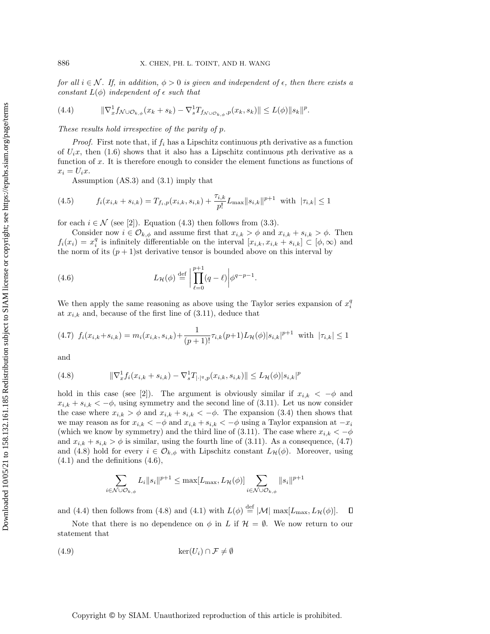for all  $i \in \mathcal{N}$ . If, in addition,  $\phi > 0$  is given and independent of  $\epsilon$ , then there exists a constant  $L(\phi)$  independent of  $\epsilon$  such that

<span id="page-12-4"></span>
$$
(4.4) \qquad \qquad \|\nabla_x^1 f_{\mathcal{N}\cup\mathcal{O}_{k,\phi}}(x_k+s_k)-\nabla_s^1 T_{f_{\mathcal{N}\cup\mathcal{O}_{k,\phi}},p}(x_k,s_k)\| \leq L(\phi) \|s_k\|^p.
$$

These results hold irrespective of the parity of p.

*Proof.* First note that, if  $f_i$  has a Lipschitz continuous pth derivative as a function of  $U_i$ , then [\(1.6\)](#page-2-1) shows that it also has a Lipschitz continuous pth derivative as a function of  $x$ . It is therefore enough to consider the element functions as functions of  $x_i = U_i x$ .

<span id="page-12-0"></span>Assumption (AS.3) and [\(3.1\)](#page-6-7) imply that

(4.5) 
$$
f_i(x_{i,k} + s_{i,k}) = T_{f_i,p}(x_{i,k}, s_{i,k}) + \frac{\tau_{i,k}}{p!} L_{\max} ||s_{i,k}||^{p+1} \text{ with } |\tau_{i,k}| \le 1
$$

for each  $i \in \mathcal{N}$  (see [\[2\]](#page-28-0)). Equation [\(4.3\)](#page-11-2) then follows from [\(3.3\)](#page-6-8).

Consider now  $i \in \mathcal{O}_{k,\phi}$  and assume first that  $x_{i,k} > \phi$  and  $x_{i,k} + s_{i,k} > \phi$ . Then  $f_i(x_i) = x_i^q$  is infinitely differentiable on the interval  $[x_{i,k}, x_{i,k} + s_{i,k}] \subset [\phi, \infty)$  and the norm of its  $(p+1)$ st derivative tensor is bounded above on this interval by

<span id="page-12-3"></span>(4.6) 
$$
L_{\mathcal{H}}(\phi) \stackrel{\text{def}}{=} \left| \prod_{\ell=0}^{p+1} (q-\ell) \right| \phi^{q-p-1}.
$$

We then apply the same reasoning as above using the Taylor series expansion of  $x_i^q$ at  $x_{i,k}$  and, because of the first line of  $(3.11)$ , deduce that

<span id="page-12-1"></span>
$$
(4.7) f_i(x_{i,k} + s_{i,k}) = m_i(x_{i,k}, s_{i,k}) + \frac{1}{(p+1)!} \tau_{i,k}(p+1) L_{\mathcal{H}}(\phi) |s_{i,k}|^{p+1} \text{ with } |\tau_{i,k}| \le 1
$$

and

<span id="page-12-2"></span>(4.8) 
$$
\|\nabla_x^1 f_i(x_{i,k} + s_{i,k}) - \nabla_s^1 f_{|\cdot|^q, p}(x_{i,k}, s_{i,k})\| \le L_{\mathcal{H}}(\phi) |s_{i,k}|^p
$$

hold in this case (see [\[2\]](#page-28-0)). The argument is obviously similar if  $x_{i,k} < -\phi$  and  $x_{i,k} + s_{i,k} < -\phi$ , using symmetry and the second line of [\(3.11\)](#page-7-2). Let us now consider the case where  $x_{i,k} > \phi$  and  $x_{i,k} + s_{i,k} < -\phi$ . The expansion [\(3.4\)](#page-6-5) then shows that we may reason as for  $x_{i,k} < -\phi$  and  $x_{i,k} + s_{i,k} < -\phi$  using a Taylor expansion at  $-x_i$ (which we know by symmetry) and the third line of [\(3.11\)](#page-7-2). The case where  $x_{i,k} < -\phi$ and  $x_{i,k} + s_{i,k} > \phi$  is similar, using the fourth line of [\(3.11\)](#page-7-2). As a consequence, [\(4.7\)](#page-12-1) and [\(4.8\)](#page-12-2) hold for every  $i \in \mathcal{O}_{k,\phi}$  with Lipschitz constant  $L_{\mathcal{H}}(\phi)$ . Moreover, using  $(4.1)$  and the definitions  $(4.6)$ ,

<span id="page-12-5"></span>
$$
\sum_{i \in \mathcal{N} \cup \mathcal{O}_{k,\phi}} L_i ||s_i||^{p+1} \le \max[L_{\max}, L_{\mathcal{H}}(\phi)] \sum_{i \in \mathcal{N} \cup \mathcal{O}_{k,\phi}} ||s_i||^{p+1}
$$

and [\(4.4\)](#page-12-4) then follows from [\(4.8\)](#page-12-2) and [\(4.1\)](#page-11-1) with  $L(\phi) \stackrel{\text{def}}{=} |\mathcal{M}| \max[L_{\text{max}}, L_{\mathcal{H}}(\phi)].$  $\Box$ 

Note that there is no dependence on  $\phi$  in L if  $\mathcal{H} = \emptyset$ . We now return to our statement that

$$
(4.9) \qquad \qquad \ker(U_i) \cap \mathcal{F} \neq \emptyset
$$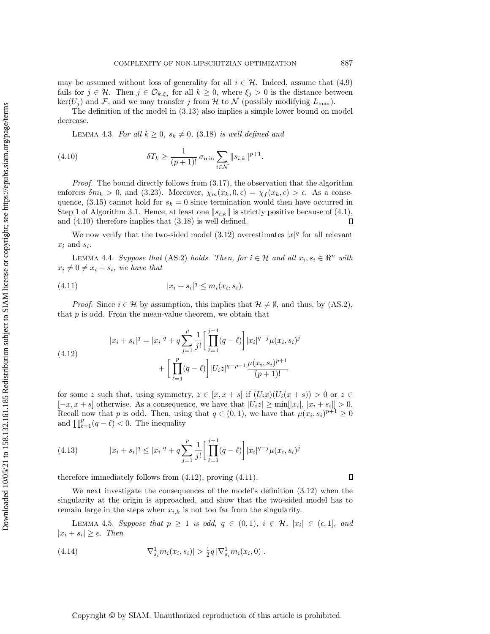may be assumed without loss of generality for all  $i \in \mathcal{H}$ . Indeed, assume that [\(4.9\)](#page-12-5) fails for  $j \in \mathcal{H}$ . Then  $j \in \mathcal{O}_{k,\xi_j}$  for all  $k \geq 0$ , where  $\xi_j > 0$  is the distance between  $\ker(U_j)$  and F, and we may transfer j from H to N (possibly modifying  $L_{\text{max}}$ ).

<span id="page-13-5"></span>The definition of the model in [\(3.13\)](#page-7-4) also implies a simple lower bound on model decrease.

<span id="page-13-0"></span>LEMMA 4.3. For all  $k \geq 0$ ,  $s_k \neq 0$ ,  $(3.18)$  is well defined and

(4.10) 
$$
\delta T_k \geq \frac{1}{(p+1)!} \sigma_{\min} \sum_{i \in \mathcal{N}} ||s_{i,k}||^{p+1}.
$$

*Proof.* The bound directly follows from  $(3.17)$ , the observation that the algorithm enforces  $\delta m_k > 0$ , and [\(3.23\)](#page-10-5). Moreover,  $\chi_m(x_k, 0, \epsilon) = \chi_f(x_k, \epsilon) > \epsilon$ . As a conse-quence, [\(3.15\)](#page-8-1) cannot hold for  $s_k = 0$  since termination would then have occurred in Step 1 of Algorithm [3.1.](#page-10-1) Hence, at least one  $||s_{i,k}||$  is strictly positive because of [\(4.1\)](#page-11-1), and [\(4.10\)](#page-13-0) therefore implies that [\(3.18\)](#page-10-4) is well defined.  $\Box$ 

We now verify that the two-sided model  $(3.12)$  overestimates  $|x|^q$  for all relevant  $x_i$  and  $s_i$ .

<span id="page-13-6"></span>LEMMA 4.4. Suppose that (AS.2) holds. Then, for  $i \in \mathcal{H}$  and all  $x_i, s_i \in \mathbb{R}^n$  with  $x_i \neq 0 \neq x_i + s_i$ , we have that

<span id="page-13-2"></span>(4.11) 
$$
|x_i + s_i|^q \le m_i(x_i, s_i).
$$

*Proof.* Since  $i \in \mathcal{H}$  by assumption, this implies that  $\mathcal{H} \neq \emptyset$ , and thus, by (AS.2), that  $p$  is odd. From the mean-value theorem, we obtain that

<span id="page-13-1"></span>(4.12) 
$$
|x_i + s_i|^q = |x_i|^q + q \sum_{j=1}^p \frac{1}{j!} \left[ \prod_{\ell=1}^{j-1} (q - \ell) \right] |x_i|^{q-j} \mu(x_i, s_i)^j + \left[ \prod_{\ell=1}^p (q - \ell) \right] |U_i z|^{q-p-1} \frac{\mu(x_i, s_i)^{p+1}}{(p+1)!}
$$

for some z such that, using symmetry,  $z \in [x, x + s]$  if  $(U_i x)(U_i(x + s)) > 0$  or  $z \in$  $[-x, x + s]$  otherwise. As a consequence, we have that  $|U_i z| \ge \min[|x_i|, |x_i + s_i|] > 0$ . Recall now that p is odd. Then, using that  $q \in (0,1)$ , we have that  $\mu(x_i, s_i)^{p+1} \geq 0$ and  $\prod_{\ell=1}^p (q - \ell) < 0$ . The inequality

(4.13) 
$$
|x_i + s_i|^q \le |x_i|^q + q \sum_{j=1}^p \frac{1}{j!} \left[ \prod_{\ell=1}^{j-1} (q-\ell) \right] |x_i|^{q-j} \mu(x_i, s_i)^j
$$

therefore immediately follows from [\(4.12\)](#page-13-1), proving [\(4.11\)](#page-13-2).

We next investigate the consequences of the model's definition [\(3.12\)](#page-7-3) when the singularity at the origin is approached, and show that the two-sided model has to remain large in the steps when  $x_{i,k}$  is not too far from the singularity.

<span id="page-13-4"></span>LEMMA 4.5. Suppose that  $p \ge 1$  is odd,  $q \in (0,1)$ ,  $i \in \mathcal{H}$ ,  $|x_i| \in (\epsilon,1]$ , and  $|x_i + s_i| \geq \epsilon$ . Then

<span id="page-13-3"></span>(4.14) 
$$
|\nabla_{s_i}^1 m_i(x_i, s_i)| > \frac{1}{2} q |\nabla_{s_i}^1 m_i(x_i, 0)|.
$$

## Copyright © by SIAM. Unauthorized reproduction of this article is prohibited.

 $\Box$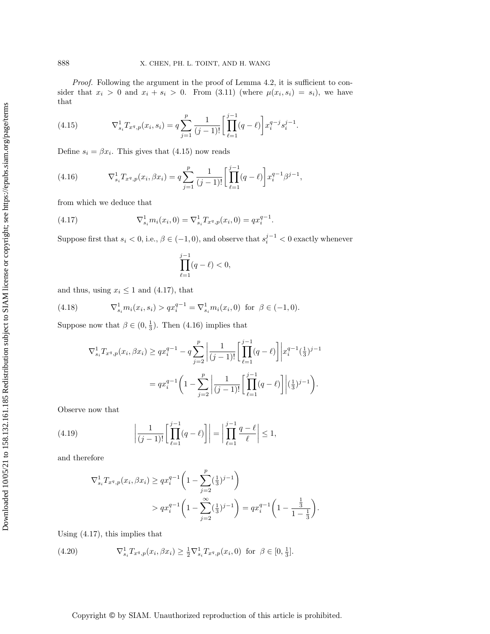Proof. Following the argument in the proof of Lemma [4.2,](#page-11-0) it is sufficient to consider that  $x_i > 0$  and  $x_i + s_i > 0$ . From  $(3.11)$  (where  $\mu(x_i, s_i) = s_i$ ), we have that

<span id="page-14-0"></span>(4.15) 
$$
\nabla_{s_i}^1 T_{x^q, p}(x_i, s_i) = q \sum_{j=1}^p \frac{1}{(j-1)!} \left[ \prod_{\ell=1}^{j-1} (q-\ell) \right] x_i^{q-j} s_i^{j-1}.
$$

Define  $s_i = \beta x_i$ . This gives that [\(4.15\)](#page-14-0) now reads

<span id="page-14-2"></span>(4.16) 
$$
\nabla_{s_i}^1 T_{x^q, p}(x_i, \beta x_i) = q \sum_{j=1}^p \frac{1}{(j-1)!} \left[ \prod_{\ell=1}^{j-1} (q-\ell) \right] x_i^{q-1} \beta^{j-1},
$$

from which we deduce that

(4.17) 
$$
\nabla_{s_i}^1 m_i(x_i, 0) = \nabla_{s_i}^1 T_{x^q, p}(x_i, 0) = qx_i^{q-1}.
$$

Suppose first that  $s_i < 0$ , i.e.,  $\beta \in (-1,0)$ , and observe that  $s_i^{j-1} < 0$  exactly whenever

<span id="page-14-1"></span>
$$
\prod_{\ell=1}^{j-1}(q-\ell)<0,
$$

and thus, using  $x_i \leq 1$  and [\(4.17\)](#page-14-1), that

(4.18) 
$$
\nabla_{s_i}^1 m_i(x_i, s_i) > qx_i^{q-1} = \nabla_{s_i}^1 m_i(x_i, 0) \text{ for } \beta \in (-1, 0).
$$

Suppose now that  $\beta \in (0, \frac{1}{3})$ . Then [\(4.16\)](#page-14-2) implies that

<span id="page-14-3"></span>
$$
\nabla_{s_i}^1 T_{x^q, p}(x_i, \beta x_i) \ge q x_i^{q-1} - q \sum_{j=2}^p \left| \frac{1}{(j-1)!} \left[ \prod_{\ell=1}^{j-1} (q-\ell) \right] \right| x_i^{q-1} \left( \frac{1}{3} \right)^{j-1}
$$

$$
= q x_i^{q-1} \left( 1 - \sum_{j=2}^p \left| \frac{1}{(j-1)!} \left[ \prod_{\ell=1}^{j-1} (q-\ell) \right] \right| \left( \frac{1}{3} \right)^{j-1} \right).
$$

Observe now that

(4.19) 
$$
\left| \frac{1}{(j-1)!} \left[ \prod_{\ell=1}^{j-1} (q-\ell) \right] \right| = \left| \prod_{\ell=1}^{j-1} \frac{q-\ell}{\ell} \right| \leq 1,
$$

and therefore

<span id="page-14-5"></span>
$$
\nabla_{s_i}^1 T_{x^q, p}(x_i, \beta x_i) \ge q x_i^{q-1} \left( 1 - \sum_{j=2}^p \left( \frac{1}{3} \right)^{j-1} \right)
$$
  
>  $qx_i^{q-1} \left( 1 - \sum_{j=2}^\infty \left( \frac{1}{3} \right)^{j-1} \right) = qx_i^{q-1} \left( 1 - \frac{\frac{1}{3}}{1 - \frac{1}{3}} \right).$ 

Using [\(4.17\)](#page-14-1), this implies that

<span id="page-14-4"></span>(4.20) 
$$
\nabla_{s_i}^1 T_{x^q, p}(x_i, \beta x_i) \geq \frac{1}{2} \nabla_{s_i}^1 T_{x^q, p}(x_i, 0) \text{ for } \beta \in [0, \frac{1}{3}].
$$

## Copyright © by SIAM. Unauthorized reproduction of this article is prohibited.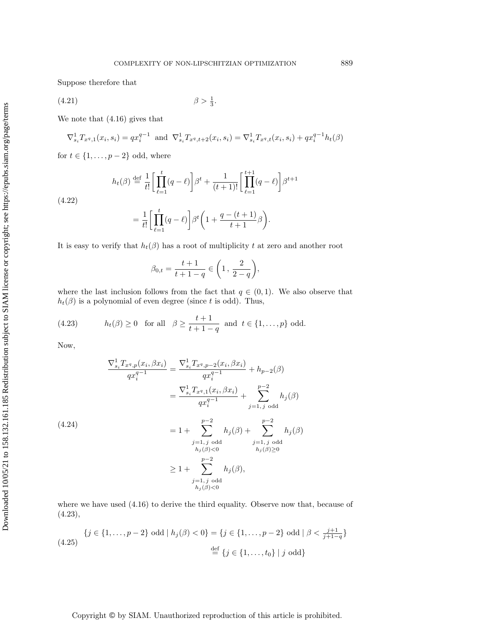Suppose therefore that

$$
\beta > \frac{1}{3}.
$$
\n
$$
\beta > \frac{1}{3}.
$$

We note that [\(4.16\)](#page-14-2) gives that

$$
\nabla_{s_i}^1 T_{x^q,1}(x_i, s_i) = qx_i^{q-1} \text{ and } \nabla_{s_i}^1 T_{x^q,t+2}(x_i, s_i) = \nabla_{s_i}^1 T_{x^q,t}(x_i, s_i) + qx_i^{q-1}h_t(\beta)
$$

for  $t \in \{1, \ldots, p - 2\}$  odd, where

$$
h_t(\beta) \stackrel{\text{def}}{=} \frac{1}{t!} \left[ \prod_{\ell=1}^t (q - \ell) \right] \beta^t + \frac{1}{(t+1)!} \left[ \prod_{\ell=1}^{t+1} (q - \ell) \right] \beta^{t+1}
$$

<span id="page-15-1"></span>(4.22)

$$
= \frac{1}{t!} \left[ \prod_{\ell=1}^t (q-\ell) \right] \beta^t \left( 1 + \frac{q - (t+1)}{t+1} \beta \right).
$$

It is easy to verify that  $h_t(\beta)$  has a root of multiplicity t at zero and another root

$$
\beta_{0,t} = \frac{t+1}{t+1-q} \in \left(1, \frac{2}{2-q}\right),\,
$$

where the last inclusion follows from the fact that  $q \in (0,1)$ . We also observe that  $h_t(\beta)$  is a polynomial of even degree (since t is odd). Thus,

<span id="page-15-0"></span>(4.23) 
$$
h_t(\beta) \ge 0 \quad \text{for all} \quad \beta \ge \frac{t+1}{t+1-q} \text{ and } t \in \{1,\ldots,p\} \text{ odd.}
$$

Now,

<span id="page-15-2"></span>
$$
\frac{\nabla_{s_i}^1 T_{x^q, p}(x_i, \beta x_i)}{qx_i^{q-1}} = \frac{\nabla_{s_i}^1 T_{x^q, p-2}(x_i, \beta x_i)}{qx_i^{q-1}} + h_{p-2}(\beta)
$$
\n
$$
= \frac{\nabla_{s_i}^1 T_{x^q, 1}(x_i, \beta x_i)}{qx_i^{q-1}} + \sum_{j=1, j \text{ odd}}^{p-2} h_j(\beta)
$$
\n(4.24)\n
$$
= 1 + \sum_{\substack{j=1, j \text{ odd} \\ h_j(\beta) < 0}}^{p-2} h_j(\beta) + \sum_{\substack{j=1, j \text{ odd} \\ h_j(\beta) \ge 0}}^{p-2} h_j(\beta)
$$
\n
$$
\ge 1 + \sum_{\substack{j=1, j \text{ odd} \\ h_j(\beta) < 0}}^{p-2} h_j(\beta),
$$

where we have used [\(4.16\)](#page-14-2) to derive the third equality. Observe now that, because of [\(4.23\)](#page-15-0),

$$
\{j \in \{1, \ldots, p-2\} \text{ odd} \mid h_j(\beta) < 0\} = \{j \in \{1, \ldots, p-2\} \text{ odd} \mid \beta < \frac{j+1}{j+1-q}\}
$$
\n
$$
\stackrel{\text{def}}{=} \{j \in \{1, \ldots, t_0\} \mid j \text{ odd}\}
$$

Copyright © by SIAM. Unauthorized reproduction of this article is prohibited.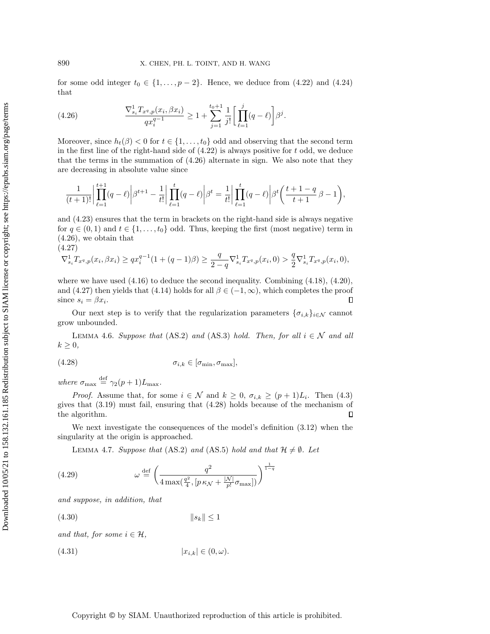for some odd integer  $t_0 \in \{1, \ldots, p-2\}$ . Hence, we deduce from  $(4.22)$  and  $(4.24)$ that

<span id="page-16-1"></span>(4.26) 
$$
\frac{\nabla_{s_i}^1 T_{x^q,p}(x_i, \beta x_i)}{qx_i^{q-1}} \ge 1 + \sum_{j=1}^{t_0+1} \frac{1}{j!} \left[ \prod_{\ell=1}^j (q-\ell) \right] \beta^j.
$$

Moreover, since  $h_t(\beta) < 0$  for  $t \in \{1, ..., t_0\}$  odd and observing that the second term in the first line of the right-hand side of  $(4.22)$  is always positive for t odd, we deduce that the terms in the summation of [\(4.26\)](#page-16-1) alternate in sign. We also note that they are decreasing in absolute value since

$$
\frac{1}{(t+1)!} \left| \prod_{\ell=1}^{t+1} (q-\ell) \right| \beta^{t+1} - \frac{1}{t!} \left| \prod_{\ell=1}^{t} (q-\ell) \right| \beta^{t} = \frac{1}{t!} \left| \prod_{\ell=1}^{t} (q-\ell) \right| \beta^{t} \left( \frac{t+1-q}{t+1} \beta - 1 \right),
$$

and [\(4.23\)](#page-15-0) ensures that the term in brackets on the right-hand side is always negative for  $q \in (0, 1)$  and  $t \in \{1, ..., t_0\}$  odd. Thus, keeping the first (most negative) term in [\(4.26\)](#page-16-1), we obtain that (4.27)

<span id="page-16-2"></span>
$$
\nabla_{s_i}^1 T_{x^q,p}(x_i,\beta x_i) \ge q x_i^{q-1} (1+(q-1)\beta) \ge \frac{q}{2-q} \nabla_{s_i}^1 T_{x^q,p}(x_i,0) > \frac{q}{2} \nabla_{s_i}^1 T_{x^q,p}(x_i,0),
$$

where we have used [\(4.16\)](#page-14-2) to deduce the second inequality. Combining [\(4.18\)](#page-14-3), [\(4.20\)](#page-14-4), and [\(4.27\)](#page-16-2) then yields that [\(4.14\)](#page-13-3) holds for all  $\beta \in (-1, \infty)$ , which completes the proof since  $s_i = \beta x_i$ . П

Our next step is to verify that the regularization parameters  $\{\sigma_{i,k}\}_{i\in\mathcal{N}}$  cannot grow unbounded.

<span id="page-16-7"></span>LEMMA 4.6. Suppose that (AS.2) and (AS.3) hold. Then, for all  $i \in \mathcal{N}$  and all  $k \geq 0$ ,

<span id="page-16-3"></span>
$$
\sigma_{i,k} \in [\sigma_{\min}, \sigma_{\max}],
$$

where  $\sigma_{\text{max}} \stackrel{\text{def}}{=} \gamma_2(p+1)L_{\text{max}}$ .

*Proof.* Assume that, for some  $i \in \mathcal{N}$  and  $k \geq 0$ ,  $\sigma_{i,k} \geq (p+1)L_i$ . Then [\(4.3\)](#page-11-2) gives that [\(3.19\)](#page-10-6) must fail, ensuring that [\(4.28\)](#page-16-3) holds because of the mechanism of the algorithm.  $\Box$ 

We next investigate the consequences of the model's definition [\(3.12\)](#page-7-3) when the singularity at the origin is approached.

<span id="page-16-5"></span><span id="page-16-0"></span>LEMMA 4.7. Suppose that (AS.2) and (AS.5) hold and that  $\mathcal{H} \neq \emptyset$ . Let

(4.29) 
$$
\omega \stackrel{\text{def}}{=} \left(\frac{q^2}{4 \max(\frac{q^2}{4}, [p\,\kappa_{\mathcal{N}} + \frac{|\mathcal{N}|}{p!}\sigma_{\max}])}\right)^{\frac{1}{1-q}}
$$

and suppose, in addition, that

<span id="page-16-4"></span>
$$
(4.30) \t\t\t\t\t||s_k|| \le 1
$$

and that, for some  $i \in \mathcal{H}$ ,

<span id="page-16-6"></span>
$$
(4.31) \t\t\t |x_{i,k}| \in (0,\omega).
$$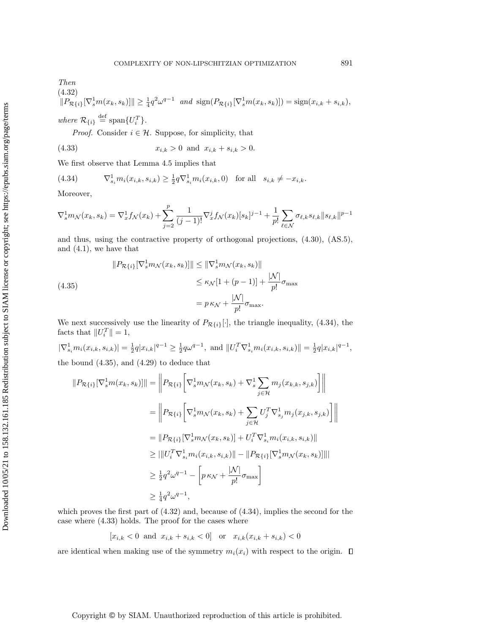<span id="page-17-2"></span>where  $\mathcal{R}_{\{i\}} \stackrel{\text{def}}{=} \text{span}\{U_i^T\}.$ 

<span id="page-17-3"></span>*Proof.* Consider  $i \in \mathcal{H}$ . Suppose, for simplicity, that

(4.33) 
$$
x_{i,k} > 0 \text{ and } x_{i,k} + s_{i,k} > 0.
$$

We first observe that Lemma [4.5](#page-13-4) implies that

<span id="page-17-0"></span>(4.34) 
$$
\nabla_{s_i}^1 m_i(x_{i,k}, s_{i,k}) \geq \frac{1}{2} q \nabla_{s_i}^1 m_i(x_{i,k}, 0) \text{ for all } s_{i,k} \neq -x_{i,k}.
$$

Moreover,

$$
\nabla_s^1 m_{\mathcal{N}}(x_k, s_k) = \nabla_x^1 f_{\mathcal{N}}(x_k) + \sum_{j=2}^p \frac{1}{(j-1)!} \nabla_x^j f_{\mathcal{N}}(x_k) [s_k]^{j-1} + \frac{1}{p!} \sum_{\ell \in \mathcal{N}} \sigma_{\ell,k} s_{\ell,k} ||s_{\ell,k}||^{p-1}
$$

and thus, using the contractive property of orthogonal projections, [\(4.30\)](#page-16-4), (AS.5), and [\(4.1\)](#page-11-1), we have that

<span id="page-17-1"></span>(4.35)  
\n
$$
||P_{\mathcal{R}{i}}[\nabla_s^1 m_{\mathcal{N}}(x_k, s_k)]|| \le ||\nabla_s^1 m_{\mathcal{N}}(x_k, s_k)||
$$
\n
$$
\le \kappa_{\mathcal{N}}[1 + (p - 1)] + \frac{|\mathcal{N}|}{p!} \sigma_{\max}
$$
\n
$$
= p \kappa_{\mathcal{N}} + \frac{|\mathcal{N}|}{p!} \sigma_{\max}.
$$

We next successively use the linearity of  $P_{\mathcal{R}{i}}[ \cdot ]$ , the triangle inequality, [\(4.34\)](#page-17-0), the facts that  $||U_i^T|| = 1$ ,

 $|\nabla_{s_i}^1 m_i(x_{i,k}, s_{i,k})| = \frac{1}{2} q |x_{i,k}|^{q-1} \ge \frac{1}{2} q \omega^{q-1}$ , and  $||U_i^T \nabla_{s_i}^1 m_i(x_{i,k}, s_{i,k})|| = \frac{1}{2} q |x_{i,k}|^{q-1}$ , the bound [\(4.35\)](#page-17-1), and [\(4.29\)](#page-16-5) to deduce that

$$
||P_{\mathcal{R}{i}}[\nabla_{s}^{1}m(x_{k}, s_{k})]|| = \left\| P_{\mathcal{R}{i}}\left[\nabla_{s}^{1}m_{\mathcal{N}}(x_{k}, s_{k}) + \nabla_{s}^{1}\sum_{j\in\mathcal{H}}m_{j}(x_{k,k}, s_{j,k})\right] \right\|
$$
  
\n
$$
= \left\| P_{\mathcal{R}{i}}\left[\nabla_{s}^{1}m_{\mathcal{N}}(x_{k}, s_{k}) + \sum_{j\in\mathcal{H}}U_{j}^{T}\nabla_{s_{j}}^{1}m_{j}(x_{j,k}, s_{j,k})\right] \right\|
$$
  
\n
$$
= ||P_{\mathcal{R}{i}}\left[\nabla_{s}^{1}m_{\mathcal{N}}(x_{k}, s_{k})\right] + U_{i}^{T}\nabla_{s_{i}}^{1}m_{i}(x_{i,k}, s_{i,k})||
$$
  
\n
$$
\geq |||U_{i}^{T}\nabla_{s_{i}}^{1}m_{i}(x_{i,k}, s_{i,k})|| - ||P_{\mathcal{R}{i}}\left[\nabla_{s}^{1}m_{\mathcal{N}}(x_{k}, s_{k})\right]|||
$$
  
\n
$$
\geq \frac{1}{2}q^{2}\omega^{q-1} - \left[p_{\mathcal{K}\mathcal{N}} + \frac{|\mathcal{N}|}{p!}\sigma_{\max}\right]
$$
  
\n
$$
\geq \frac{1}{4}q^{2}\omega^{q-1},
$$

which proves the first part of [\(4.32\)](#page-17-2) and, because of [\(4.34\)](#page-17-0), implies the second for the case where [\(4.33\)](#page-17-3) holds. The proof for the cases where

$$
[x_{i,k} < 0 \text{ and } x_{i,k} + s_{i,k} < 0] \text{ or } x_{i,k}(x_{i,k} + s_{i,k}) < 0
$$

are identical when making use of the symmetry  $m_i(x_i)$  with respect to the origin.  $\Box$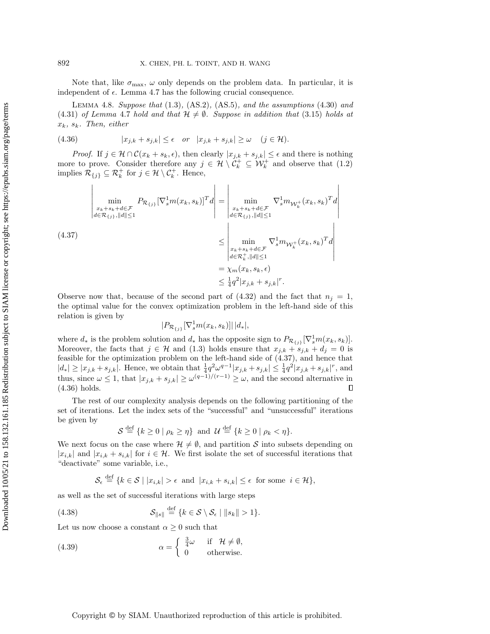Note that, like  $\sigma_{\text{max}}$ ,  $\omega$  only depends on the problem data. In particular, it is independent of  $\epsilon$ . Lemma [4.7](#page-16-0) has the following crucial consequence.

<span id="page-18-2"></span>LEMMA 4.8. Suppose that  $(1.3)$ ,  $(AS.2)$ ,  $(AS.5)$ , and the assumptions  $(4.30)$  and [\(4.31\)](#page-16-6) of Lemma [4.7](#page-16-0) hold and that  $\mathcal{H} \neq \emptyset$ . Suppose in addition that [\(3.15\)](#page-8-1) holds at  $x_k$ ,  $s_k$ . Then, either

<span id="page-18-1"></span>(4.36) 
$$
|x_{j,k} + s_{j,k}| \le \epsilon \quad or \quad |x_{j,k} + s_{j,k}| \ge \omega \quad (j \in \mathcal{H}).
$$

*Proof.* If  $j \in \mathcal{H} \cap C(x_k + s_k, \epsilon)$ , then clearly  $|x_{j,k} + s_{j,k}| \leq \epsilon$  and there is nothing more to prove. Consider therefore any  $j \in \mathcal{H} \setminus C_k^+ \subseteq \mathcal{W}_k^+$  and observe that  $(1.2)$ implies  $\mathcal{R}_{\{j\}} \subseteq \mathcal{R}_k^+$  for  $j \in \mathcal{H} \setminus \mathcal{C}_k^+$ . Hence,

<span id="page-18-0"></span>
$$
(4.37)
$$
\n
$$
\begin{aligned}\n\lim_{x_k + s_k + d \in \mathcal{F}} P_{\mathcal{R}_{\{j\}}}[ \nabla_s^1 m(x_k, s_k)]^T d \\
&= \left| \min_{\substack{x_k + s_k + d \in \mathcal{F} \\ d \in \mathcal{R}_{\{j\}, ||d|| \le 1}} \nabla_s^1 m_{\mathcal{W}_k^{\perp}}(x_k, s_k)^T d \right| \\
&\le \left| \min_{\substack{x_k + s_k + d \in \mathcal{F} \\ d \in \mathcal{R}_k^+, ||d|| \le 1}} \nabla_s^1 m_{\mathcal{W}_k^{\perp}}(x_k, s_k)^T d \right| \\
&= \chi_m(x_k, s_k, \epsilon) \\
&\le \frac{1}{4} q^2 |x_{j,k} + s_{j,k}|^r.\n\end{aligned}
$$

Observe now that, because of the second part of  $(4.32)$  and the fact that  $n<sub>i</sub> = 1$ , the optimal value for the convex optimization problem in the left-hand side of this relation is given by

$$
|P_{\mathcal{R}_{\{j\}}}[ \nabla_s^1 m(x_k, s_k)]| |d_*|,
$$

where  $d_*$  is the problem solution and  $d_*$  has the opposite sign to  $P_{\mathcal{R}_{\{j\}}}\left[\nabla_s^1 m(x_k, s_k)\right]$ . Moreover, the facts that  $j \in \mathcal{H}$  and [\(1.3\)](#page-1-2) holds ensure that  $x_{j,k} + s_{j,k} + d_j = 0$  is feasible for the optimization problem on the left-hand side of [\(4.37\)](#page-18-0), and hence that  $|d_*| \ge |x_{j,k} + s_{j,k}|$ . Hence, we obtain that  $\frac{1}{4}q^2\omega^{q-1}|x_{j,k} + s_{j,k}| \le \frac{1}{4}q^2|x_{j,k} + s_{j,k}|^r$ , and thus, since  $\omega \leq 1$ , that  $|x_{j,k} + s_{j,k}| \geq \omega^{(q-1)/(r-1)} \geq \omega$ , and the second alternative in  $\Box$ [\(4.36\)](#page-18-1) holds.

The rest of our complexity analysis depends on the following partitioning of the set of iterations. Let the index sets of the "successful" and "unsuccessful" iterations be given by

$$
\mathcal{S} \stackrel{\text{def}}{=} \{k \ge 0 \mid \rho_k \ge \eta\} \text{ and } \mathcal{U} \stackrel{\text{def}}{=} \{k \ge 0 \mid \rho_k < \eta\}.
$$

We next focus on the case where  $\mathcal{H} \neq \emptyset$ , and partition S into subsets depending on  $|x_{i,k}|$  and  $|x_{i,k} + s_{i,k}|$  for  $i \in \mathcal{H}$ . We first isolate the set of successful iterations that "deactivate" some variable, i.e.,

<span id="page-18-3"></span>
$$
\mathcal{S}_{\epsilon} \stackrel{\text{def}}{=} \{k \in \mathcal{S} \mid |x_{i,k}| > \epsilon \text{ and } |x_{i,k} + s_{i,k}| \le \epsilon \text{ for some } i \in \mathcal{H}\},\
$$

as well as the set of successful iterations with large steps

(4.38) 
$$
\mathcal{S}_{\|s\|} \stackrel{\text{def}}{=} \{k \in \mathcal{S} \setminus \mathcal{S}_{\epsilon} \mid \|s_k\| > 1\}.
$$

Let us now choose a constant  $\alpha \geq 0$  such that

(4.39) 
$$
\alpha = \begin{cases} \frac{3}{4}\omega & \text{if } \mathcal{H} \neq \emptyset, \\ 0 & \text{otherwise.} \end{cases}
$$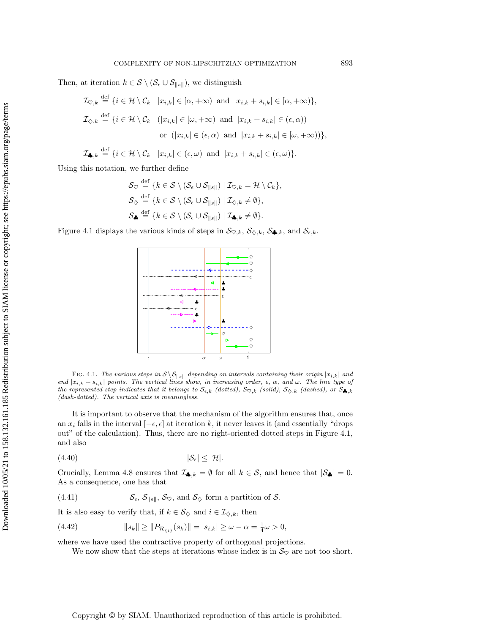Then, at iteration  $k \in S \setminus (\mathcal{S}_{\epsilon} \cup \mathcal{S}_{\|s\|})$ , we distinguish

$$
\mathcal{I}_{\heartsuit,k} \stackrel{\text{def}}{=} \{i \in \mathcal{H} \setminus \mathcal{C}_k \mid |x_{i,k}| \in [\alpha, +\infty) \text{ and } |x_{i,k} + s_{i,k}| \in [\alpha, +\infty)\},\
$$
  

$$
\mathcal{I}_{\diamondsuit,k} \stackrel{\text{def}}{=} \{i \in \mathcal{H} \setminus \mathcal{C}_k \mid (|x_{i,k}| \in [\omega, +\infty) \text{ and } |x_{i,k} + s_{i,k}| \in (\epsilon, \alpha))\}
$$
  
or 
$$
(|x_{i,k}| \in (\epsilon, \alpha) \text{ and } |x_{i,k} + s_{i,k}| \in [\omega, +\infty))\},
$$

$$
\mathcal{I}_{\clubsuit,k} \stackrel{\text{def}}{=} \{i \in \mathcal{H} \setminus \mathcal{C}_k \mid |x_{i,k}| \in (\epsilon,\omega) \text{ and } |x_{i,k} + s_{i,k}| \in (\epsilon,\omega)\}.
$$

Using this notation, we further define

$$
\mathcal{S}_{\heartsuit} \stackrel{\text{def}}{=} \{k \in \mathcal{S} \setminus (\mathcal{S}_{\epsilon} \cup \mathcal{S}_{\|s\|}) \mid \mathcal{I}_{\heartsuit,k} = \mathcal{H} \setminus \mathcal{C}_{k}\},
$$
\n
$$
\mathcal{S}_{\diamondsuit} \stackrel{\text{def}}{=} \{k \in \mathcal{S} \setminus (\mathcal{S}_{\epsilon} \cup \mathcal{S}_{\|s\|}) \mid \mathcal{I}_{\diamondsuit,k} \neq \emptyset\},
$$
\n
$$
\mathcal{S}_{\clubsuit} \stackrel{\text{def}}{=} \{k \in \mathcal{S} \setminus (\mathcal{S}_{\epsilon} \cup \mathcal{S}_{\|s\|}) \mid \mathcal{I}_{\clubsuit,k} \neq \emptyset\}.
$$

<span id="page-19-0"></span>Figure [4.1](#page-19-0) displays the various kinds of steps in  $\mathcal{S}_{\heartsuit,k}$ ,  $\mathcal{S}_{\diamondsuit,k}$ ,  $\mathcal{S}_{\clubsuit,k}$ , and  $\mathcal{S}_{\epsilon,k}$ .



FIG. 4.1. The various steps in  $S \ S_{\|s\|}$  depending on intervals containing their origin  $|x_{i,k}|$  and end  $|x_{i,k} + s_{i,k}|$  points. The vertical lines show, in increasing order,  $\epsilon$ ,  $\alpha$ , and  $\omega$ . The line type of the represented step indicates that it belongs to  $\mathcal{S}_{\epsilon,k}$  (dotted),  $\mathcal{S}_{\heartsuit,k}$  (solid),  $\mathcal{S}_{\diamondsuit,k}$  (dashed), or  $\mathcal{S}_{\clubsuit,k}$ (dash-dotted). The vertical axis is meaningless.

It is important to observe that the mechanism of the algorithm ensures that, once an  $x_i$  falls in the interval  $[-\epsilon, \epsilon]$  at iteration k, it never leaves it (and essentially "drops") out" of the calculation). Thus, there are no right-oriented dotted steps in Figure [4.1,](#page-19-0) and also

<span id="page-19-4"></span>
$$
(4.40) \t\t |S_{\epsilon}| \leq |\mathcal{H}|.
$$

Crucially, Lemma [4.8](#page-18-2) ensures that  $\mathcal{I}_{\clubsuit,k} = \emptyset$  for all  $k \in \mathcal{S}$ , and hence that  $|\mathcal{S}_{\clubsuit}| = 0$ . As a consequence, one has that

<span id="page-19-1"></span>(4.41) 
$$
\mathcal{S}_{\epsilon}, \mathcal{S}_{\|s\|}, \mathcal{S}_{\heartsuit}, \text{ and } \mathcal{S}_{\diamondsuit} \text{ form a partition of } \mathcal{S}.
$$

It is also easy to verify that, if  $k \in \mathcal{S}_{\diamondsuit}$  and  $i \in \mathcal{I}_{\diamondsuit,k}$ , then

(4.42) 
$$
||s_k|| \ge ||P_{\mathcal{R}_{\{i\}}}(s_k)|| = |s_{i,k}| \ge \omega - \alpha = \frac{1}{4}\omega > 0,
$$

where we have used the contractive property of orthogonal projections.

<span id="page-19-3"></span><span id="page-19-2"></span>We now show that the steps at iterations whose index is in  $\mathcal{S}_{\heartsuit}$  are not too short.

Copyright © by SIAM. Unauthorized reproduction of this article is prohibited.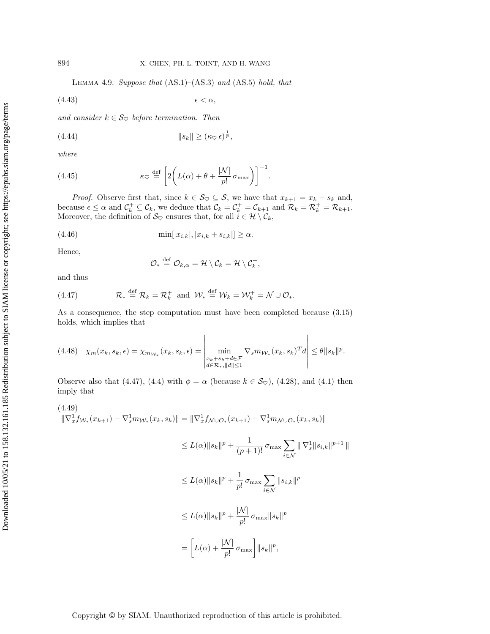<span id="page-20-5"></span><span id="page-20-3"></span>LEMMA 4.9. Suppose that  $(AS.1)$ – $(AS.3)$  and  $(AS.5)$  hold, that

(4.43) < α,

and consider  $k \in \mathcal{S}_{\heartsuit}$  before termination. Then

$$
(4.44) \t\t\t\t ||s_k|| \ge (\kappa_{\heartsuit} \epsilon)^{\frac{1}{p}},
$$

where

(4.45) 
$$
\kappa_{\heartsuit} \stackrel{\text{def}}{=} \left[2\left(L(\alpha) + \theta + \frac{|\mathcal{N}|}{p!} \sigma_{\max}\right)\right]^{-1}.
$$

*Proof.* Observe first that, since  $k \in \mathcal{S}_{\heartsuit} \subseteq \mathcal{S}$ , we have that  $x_{k+1} = x_k + s_k$  and, because  $\epsilon \leq \alpha$  and  $\mathcal{C}_k^+ \subseteq \mathcal{C}_k$ , we deduce that  $\mathcal{C}_k = \mathcal{C}_k^+ = \mathcal{C}_{k+1}$  and  $\mathcal{R}_k = \mathcal{R}_k^+ = \mathcal{R}_{k+1}$ . Moreover, the definition of  $S_{\heartsuit}$  ensures that, for all  $\hat{i} \in \mathcal{H} \setminus \mathcal{C}_k$ ,

(4.46) 
$$
\min[|x_{i,k}|, |x_{i,k} + s_{i,k}|] \ge \alpha.
$$

Hence,

<span id="page-20-4"></span><span id="page-20-0"></span>
$$
\mathcal{O}_* \stackrel{\text{def}}{=} \mathcal{O}_{k,\alpha} = \mathcal{H} \setminus \mathcal{C}_k = \mathcal{H} \setminus \mathcal{C}_k^+,
$$

and thus

(4.47) 
$$
\mathcal{R}_* \stackrel{\text{def}}{=} \mathcal{R}_k = \mathcal{R}_k^+ \text{ and } \mathcal{W}_* \stackrel{\text{def}}{=} \mathcal{W}_k = \mathcal{W}_k^+ = \mathcal{N} \cup \mathcal{O}_*.
$$

As a consequence, the step computation must have been completed because [\(3.15\)](#page-8-1) holds, which implies that

<span id="page-20-2"></span>
$$
(4.48)\quad \chi_m(x_k, s_k, \epsilon) = \chi_{m_{\mathcal{W}_*}}(x_k, s_k, \epsilon) = \left| \min_{\substack{x_k + s_k + d \in \mathcal{F} \\ d \in \mathcal{R}_*, ||d|| \le 1}} \nabla_s m_{\mathcal{W}_*}(x_k, s_k)^T d \right| \le \theta ||s_k||^p.
$$

Observe also that [\(4.47\)](#page-20-0), [\(4.4\)](#page-12-4) with  $\phi = \alpha$  (because  $k \in \mathcal{S}_{\heartsuit}$ ), [\(4.28\)](#page-16-3), and [\(4.1\)](#page-11-1) then imply that

<span id="page-20-1"></span>
$$
(4.49) \|\nabla_x^1 f_{\mathcal{W}_*}(x_{k+1}) - \nabla_s^1 m_{\mathcal{W}_*}(x_k, s_k)\| = \|\nabla_x^1 f_{\mathcal{N} \cup \mathcal{O}_*}(x_{k+1}) - \nabla_s^1 m_{\mathcal{N} \cup \mathcal{O}_*}(x_k, s_k)\|
$$

$$
\leq L(\alpha) \|s_k\|^p + \frac{1}{(p+1)!} \sigma_{\max} \sum_{i \in \mathcal{N}} \| \nabla_s^1 \| s_{i,k} \|^{p+1} \|
$$
  

$$
\leq L(\alpha) \|s_k\|^p + \frac{1}{p!} \sigma_{\max} \sum_{i \in \mathcal{N}} \|s_{i,k}\|^p
$$
  

$$
\leq L(\alpha) \|s_k\|^p + \frac{|\mathcal{N}|}{p!} \sigma_{\max} \|s_k\|^p
$$
  

$$
= \left[L(\alpha) + \frac{|\mathcal{N}|}{p!} \sigma_{\max}\right] \|s_k\|^p,
$$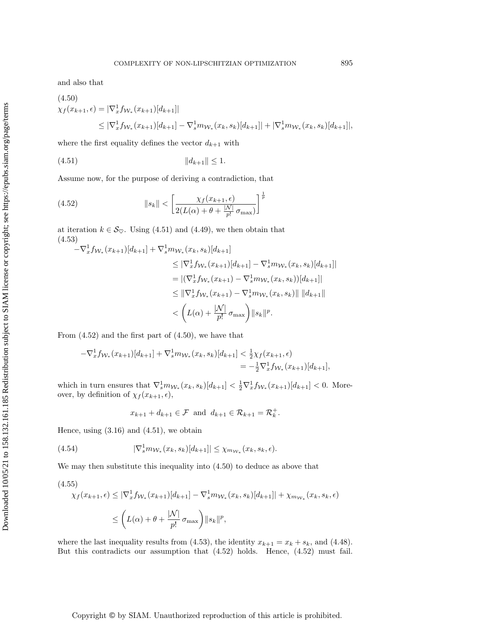and also that

<span id="page-21-2"></span>
$$
(4.50)
$$
  
\n
$$
\chi_f(x_{k+1}, \epsilon) = |\nabla_x^1 f_{\mathcal{W}_*}(x_{k+1})[d_{k+1}]|
$$
  
\n
$$
\leq |\nabla_x^1 f_{\mathcal{W}_*}(x_{k+1})[d_{k+1}] - \nabla_s^1 m_{\mathcal{W}_*}(x_k, s_k)[d_{k+1}]| + |\nabla_s^1 m_{\mathcal{W}_*}(x_k, s_k)[d_{k+1}]|,
$$

where the first equality defines the vector  $d_{k+1}$  with

<span id="page-21-0"></span>(4.51) kdk+1k ≤ 1.

Assume now, for the purpose of deriving a contradiction, that

<span id="page-21-1"></span>(4.52) 
$$
||s_k|| < \left[\frac{\chi_f(x_{k+1}, \epsilon)}{2(L(\alpha) + \theta + \frac{|N|}{p!} \sigma_{\max})}\right]^{\frac{1}{p}}
$$

at iteration  $k \in \mathcal{S}_{\heartsuit}$ . Using [\(4.51\)](#page-21-0) and [\(4.49\)](#page-20-1), we then obtain that (4.53)

<span id="page-21-3"></span>
$$
-\nabla_x^1 f_{\mathcal{W}_*}(x_{k+1})[d_{k+1}] + \nabla_s^1 m_{\mathcal{W}_*}(x_k, s_k)[d_{k+1}]
$$
  
\n
$$
\leq |\nabla_x^1 f_{\mathcal{W}_*}(x_{k+1})[d_{k+1}] - \nabla_s^1 m_{\mathcal{W}_*}(x_k, s_k)[d_{k+1}]|
$$
  
\n
$$
= |(\nabla_x^1 f_{\mathcal{W}_*}(x_{k+1}) - \nabla_s^1 m_{\mathcal{W}_*}(x_k, s_k))[d_{k+1}]|
$$
  
\n
$$
\leq ||\nabla_x^1 f_{\mathcal{W}_*}(x_{k+1}) - \nabla_s^1 m_{\mathcal{W}_*}(x_k, s_k)|| ||d_{k+1}||
$$
  
\n
$$
< \left( L(\alpha) + \frac{|\mathcal{N}|}{p!} \sigma_{\max} \right) ||s_k||^p.
$$

From [\(4.52\)](#page-21-1) and the first part of [\(4.50\)](#page-21-2), we have that

$$
-\nabla_x^1 f_{\mathcal{W}_*}(x_{k+1})[d_{k+1}] + \nabla_s^1 m_{\mathcal{W}_*}(x_k, s_k)[d_{k+1}] < \frac{1}{2}\chi_f(x_{k+1}, \epsilon) \\
= -\frac{1}{2}\nabla_x^1 f_{\mathcal{W}_*}(x_{k+1})[d_{k+1}],
$$

which in turn ensures that  $\nabla_s^1 m_{\mathcal{W}_*}(x_k, s_k)[d_{k+1}] < \frac{1}{2} \nabla_x^1 f_{\mathcal{W}_*}(x_{k+1})[d_{k+1}] < 0$ . Moreover, by definition of  $\chi_f(x_{k+1}, \epsilon)$ ,

$$
x_{k+1} + d_{k+1} \in \mathcal{F} \text{ and } d_{k+1} \in \mathcal{R}_{k+1} = \mathcal{R}_k^+.
$$

Hence, using  $(3.16)$  and  $(4.51)$ , we obtain

(4.54) 
$$
|\nabla_s^1 m_{\mathcal{W}_*}(x_k, s_k)[d_{k+1}]| \leq \chi_{m_{\mathcal{W}_*}}(x_k, s_k, \epsilon).
$$

We may then substitute this inequality into [\(4.50\)](#page-21-2) to deduce as above that

<span id="page-21-4"></span>
$$
(4.55)
$$
  
\n
$$
\chi_f(x_{k+1}, \epsilon) \le |\nabla_x^1 f_{\mathcal{W}_*}(x_{k+1})[d_{k+1}] - \nabla_x^1 m_{\mathcal{W}_*}(x_k, s_k)[d_{k+1}]| + \chi_{m_{\mathcal{W}_*}}(x_k, s_k, \epsilon)
$$
  
\n
$$
\le \left( L(\alpha) + \theta + \frac{|\mathcal{N}|}{p!} \sigma_{\max} \right) \|s_k\|^p,
$$

where the last inequality results from [\(4.53\)](#page-21-3), the identity  $x_{k+1} = x_k + s_k$ , and [\(4.48\)](#page-20-2). But this contradicts our assumption that [\(4.52\)](#page-21-1) holds. Hence, [\(4.52\)](#page-21-1) must fail.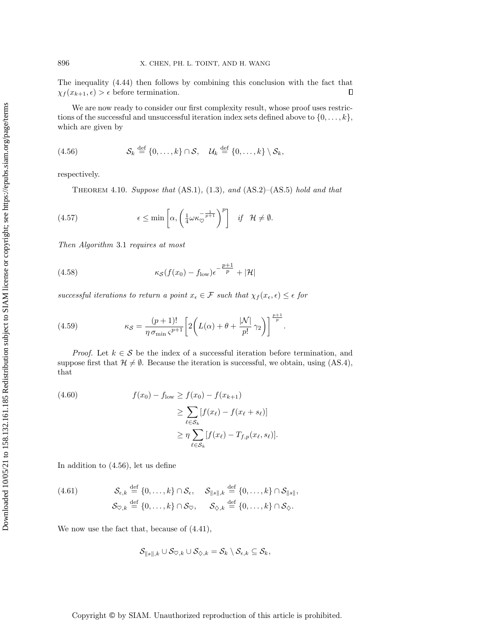The inequality [\(4.44\)](#page-20-3) then follows by combining this conclusion with the fact that  $\chi_f(x_{k+1}, \epsilon) > \epsilon$  before termination.  $\Box$ 

We are now ready to consider our first complexity result, whose proof uses restrictions of the successful and unsuccessful iteration index sets defined above to  $\{0, \ldots, k\}$ , which are given by

<span id="page-22-0"></span>
$$
(4.56) \tSk \stackrel{\text{def}}{=} \{0,\ldots,k\} \cap \mathcal{S}, \quad \mathcal{U}k \stackrel{\text{def}}{=} \{0,\ldots,k\} \setminus \mathcal{S}k,
$$

<span id="page-22-6"></span>respectively.

<span id="page-22-3"></span>THEOREM 4.10. Suppose that  $(AS.1)$ ,  $(1.3)$ , and  $(AS.2)$ – $(AS.5)$  hold and that

(4.57) 
$$
\epsilon \leq \min \left[ \alpha, \left( \frac{1}{4} \omega \kappa_{\heartsuit}^{-\frac{1}{p+1}} \right)^p \right] \quad \text{if} \quad \mathcal{H} \neq \emptyset.
$$

Then Algorithm [3.1](#page-10-1) requires at most

<span id="page-22-5"></span>(4.58) 
$$
\kappa_{\mathcal{S}}(f(x_0) - f_{\text{low}}) \epsilon^{-\frac{p+1}{p}} + |\mathcal{H}|
$$

successful iterations to return a point  $x_{\epsilon} \in \mathcal{F}$  such that  $\chi_f(x_{\epsilon}, \epsilon) \leq \epsilon$  for

<span id="page-22-4"></span>(4.59) 
$$
\kappa_{\mathcal{S}} = \frac{(p+1)!}{\eta \sigma_{\min} \varsigma^{p+1}} \left[ 2 \left( L(\alpha) + \theta + \frac{|\mathcal{N}|}{p!} \gamma_2 \right) \right]^{\frac{p+1}{p}}.
$$

*Proof.* Let  $k \in S$  be the index of a successful iteration before termination, and suppose first that  $\mathcal{H} \neq \emptyset$ . Because the iteration is successful, we obtain, using (AS.4), that

<span id="page-22-1"></span>(4.60) 
$$
f(x_0) - f_{\text{low}} \ge f(x_0) - f(x_{k+1})
$$

$$
\ge \sum_{\ell \in S_k} [f(x_{\ell}) - f(x_{\ell} + s_{\ell})]
$$

$$
\ge \eta \sum_{\ell \in S_k} [f(x_{\ell}) - T_{f,p}(x_{\ell}, s_{\ell})].
$$

In addition to [\(4.56\)](#page-22-0), let us define

<span id="page-22-2"></span>(4.61) 
$$
\mathcal{S}_{\epsilon,k} \stackrel{\text{def}}{=} \{0,\ldots,k\} \cap \mathcal{S}_{\epsilon}, \quad \mathcal{S}_{\|s\|,k} \stackrel{\text{def}}{=} \{0,\ldots,k\} \cap \mathcal{S}_{\|s\|},
$$

$$
\mathcal{S}_{\heartsuit,k} \stackrel{\text{def}}{=} \{0,\ldots,k\} \cap \mathcal{S}_{\heartsuit}, \quad \mathcal{S}_{\diamondsuit,k} \stackrel{\text{def}}{=} \{0,\ldots,k\} \cap \mathcal{S}_{\diamondsuit}.
$$

We now use the fact that, because of [\(4.41\)](#page-19-1),

$$
\mathcal{S}_{\|s\|,k} \cup \mathcal{S}_{\heartsuit,k} \cup \mathcal{S}_{\diamondsuit,k} = \mathcal{S}_k \setminus \mathcal{S}_{\epsilon,k} \subseteq \mathcal{S}_k,
$$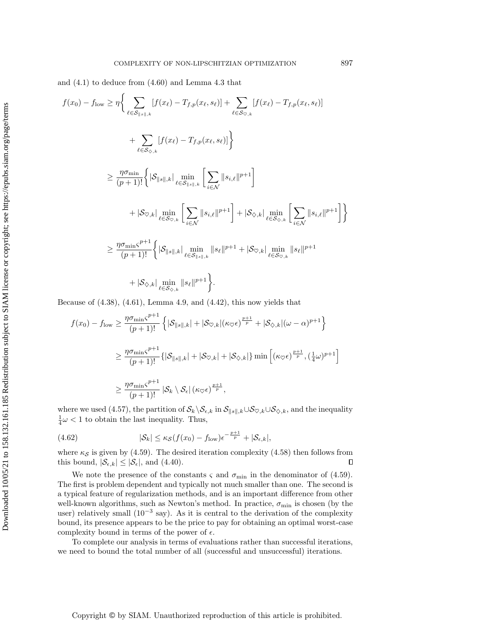and [\(4.1\)](#page-11-1) to deduce from [\(4.60\)](#page-22-1) and Lemma [4.3](#page-13-5) that

$$
f(x_0) - f_{\text{low}} \ge \eta \Bigg\{ \sum_{\ell \in S_{\parallel s \parallel, k}} [f(x_{\ell}) - T_{f, p}(x_{\ell}, s_{\ell})] + \sum_{\ell \in S_{\heartsuit, k}} [f(x_{\ell}) - T_{f, p}(x_{\ell}, s_{\ell})] \Bigg\} + \sum_{\ell \in S_{\heartsuit, k}} [f(x_{\ell}) - T_{f, p}(x_{\ell}, s_{\ell})] \Bigg\} \ge \frac{\eta \sigma_{\min}}{(p+1)!} \Bigg\{ |\mathcal{S}_{\parallel s \parallel, k} | \min_{\ell \in S_{\parallel s \parallel, k}} \Bigg[ \sum_{i \in \mathcal{N}} ||s_{i, \ell}||^{p+1} \Bigg] + |\mathcal{S}_{\heartsuit, k}| \min_{\ell \in S_{\heartsuit, k}} \Bigg[ \sum_{i \in \mathcal{N}} ||s_{i, \ell}||^{p+1} \Bigg] + |\mathcal{S}_{\heartsuit, k}| \min_{\ell \in S_{\heartsuit, k}} \Bigg[ \sum_{i \in \mathcal{N}} ||s_{i, \ell}||^{p+1} \Bigg] \Bigg\} \ge \frac{\eta \sigma_{\min} \varsigma^{p+1}}{(p+1)!} \Bigg\{ |\mathcal{S}_{\parallel s \parallel, k}| \min_{\ell \in S_{\parallel s \parallel, k}} ||s_{\ell}||^{p+1} + |\mathcal{S}_{\heartsuit, k}| \min_{\ell \in S_{\heartsuit, k}} ||s_{\ell}||^{p+1} + |\mathcal{S}_{\heartsuit, k}| \min_{\ell \in S_{\heartsuit, k}} ||s_{\ell}||^{p+1} \Bigg\}.
$$

Because of  $(4.38)$ ,  $(4.61)$ , Lemma [4.9,](#page-19-2) and  $(4.42)$ , this now yields that

$$
f(x_0) - f_{\text{low}} \ge \frac{\eta \sigma_{\min} \varsigma^{p+1}}{(p+1)!} \left\{ |\mathcal{S}_{\parallel s \parallel, k}| + |\mathcal{S}_{\heartsuit, k}| (\kappa \varsigma \epsilon)^{\frac{p+1}{p}} + |\mathcal{S}_{\diamondsuit, k}| (\omega - \alpha)^{p+1} \right\}
$$
  

$$
\ge \frac{\eta \sigma_{\min} \varsigma^{p+1}}{(p+1)!} \{ |\mathcal{S}_{\parallel s \parallel, k}| + |\mathcal{S}_{\heartsuit, k}| + |\mathcal{S}_{\diamondsuit, k}| \} \min \left[ (\kappa \varsigma \epsilon)^{\frac{p+1}{p}}, (\frac{1}{4} \omega)^{p+1} \right]
$$
  

$$
\ge \frac{\eta \sigma_{\min} \varsigma^{p+1}}{(p+1)!} |\mathcal{S}_k \setminus \mathcal{S}_\epsilon| (\kappa \varsigma \epsilon)^{\frac{p+1}{p}},
$$

where we used [\(4.57\)](#page-22-3), the partition of  $\mathcal{S}_k\backslash\mathcal{S}_{\epsilon,k}$  in  $\mathcal{S}_{\parallel s\parallel,k}\cup\mathcal{S}_{\heartsuit,k}\cup\mathcal{S}_{\diamondsuit,k}$ , and the inequality  $\frac{1}{4}\omega < 1$  to obtain the last inequality. Thus,

(4.62) 
$$
|\mathcal{S}_k| \leq \kappa_{\mathcal{S}}(f(x_0) - f_{\text{low}}) \epsilon^{-\frac{p+1}{p}} + |\mathcal{S}_{\epsilon,k}|,
$$

where  $\kappa_{\mathcal{S}}$  is given by [\(4.59\)](#page-22-4). The desired iteration complexity [\(4.58\)](#page-22-5) then follows from this bound,  $|\mathcal{S}_{\epsilon,k}| \leq |\mathcal{S}_{\epsilon}|$ , and [\(4.40\)](#page-19-4).  $\Box$ 

We note the presence of the constants  $\varsigma$  and  $\sigma_{\min}$  in the denominator of [\(4.59\)](#page-22-4). The first is problem dependent and typically not much smaller than one. The second is a typical feature of regularization methods, and is an important difference from other well-known algorithms, such as Newton's method. In practice,  $\sigma_{\min}$  is chosen (by the user) relatively small  $(10^{-3}$  say). As it is central to the derivation of the complexity bound, its presence appears to be the price to pay for obtaining an optimal worst-case complexity bound in terms of the power of  $\epsilon$ .

<span id="page-23-0"></span>To complete our analysis in terms of evaluations rather than successful iterations, we need to bound the total number of all (successful and unsuccessful) iterations.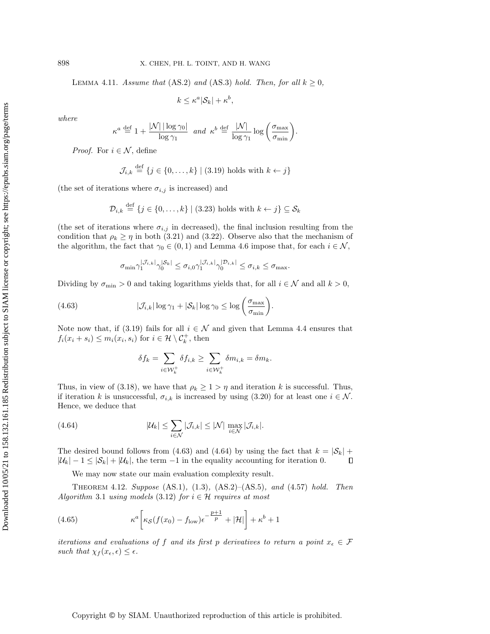LEMMA 4.11. Assume that (AS.2) and (AS.3) hold. Then, for all  $k \geq 0$ ,

 $k \leq \kappa^a |\mathcal{S}_k| + \kappa^b,$ 

where

$$
\kappa^a \stackrel{\text{def}}{=} 1 + \frac{|\mathcal{N}| |\log \gamma_0|}{\log \gamma_1} \quad \text{and} \quad \kappa^b \stackrel{\text{def}}{=} \frac{|\mathcal{N}|}{\log \gamma_1} \log \left( \frac{\sigma_{\max}}{\sigma_{\min}} \right).
$$

*Proof.* For  $i \in \mathcal{N}$ , define

$$
\mathcal{J}_{i,k} \stackrel{\text{def}}{=} \{j \in \{0, \dots, k\} \mid (3.19) \text{ holds with } k \leftarrow j\}
$$

(the set of iterations where  $\sigma_{i,j}$  is increased) and

$$
\mathcal{D}_{i,k} \stackrel{\text{def}}{=} \{j \in \{0, \ldots, k\} \mid (3.23) \text{ holds with } k \leftarrow j\} \subseteq \mathcal{S}_k
$$

(the set of iterations where  $\sigma_{i,j}$  in decreased), the final inclusion resulting from the condition that  $\rho_k \geq \eta$  in both [\(3.21\)](#page-10-2) and [\(3.22\)](#page-10-3). Observe also that the mechanism of the algorithm, the fact that  $\gamma_0 \in (0,1)$  and Lemma [4.6](#page-16-7) impose that, for each  $i \in \mathcal{N}$ ,

<span id="page-24-0"></span>
$$
\sigma_{\min} \gamma_1^{|\mathcal{J}_{i,k}|} \gamma_0^{|\mathcal{S}_k|} \leq \sigma_{i,0} \gamma_1^{|\mathcal{J}_{i,k}|} \gamma_0^{|\mathcal{D}_{i,k}|} \leq \sigma_{i,k} \leq \sigma_{\max}.
$$

Dividing by  $\sigma_{\min} > 0$  and taking logarithms yields that, for all  $i \in \mathcal{N}$  and all  $k > 0$ ,

(4.63) 
$$
|\mathcal{J}_{i,k}| \log \gamma_1 + |\mathcal{S}_k| \log \gamma_0 \leq \log \left(\frac{\sigma_{\max}}{\sigma_{\min}}\right).
$$

Note now that, if [\(3.19\)](#page-10-6) fails for all  $i \in \mathcal{N}$  and given that Lemma [4.4](#page-13-6) ensures that  $f_i(x_i + s_i) \leq m_i(x_i, s_i)$  for  $i \in \mathcal{H} \setminus \mathcal{C}_k^+$ , then

<span id="page-24-1"></span>
$$
\delta f_k = \sum_{i \in \mathcal{W}_k^+} \delta f_{i,k} \ge \sum_{i \in \mathcal{W}_k^+} \delta m_{i,k} = \delta m_k.
$$

Thus, in view of [\(3.18\)](#page-10-4), we have that  $\rho_k \geq 1 > \eta$  and iteration k is successful. Thus, if iteration k is unsuccessful,  $\sigma_{i,k}$  is increased by using [\(3.20\)](#page-10-7) for at least one  $i \in \mathcal{N}$ . Hence, we deduce that

(4.64) 
$$
|\mathcal{U}_k| \leq \sum_{i \in \mathcal{N}} |\mathcal{J}_{i,k}| \leq |\mathcal{N}| \max_{i \in \mathcal{N}} |\mathcal{J}_{i,k}|.
$$

The desired bound follows from [\(4.63\)](#page-24-0) and [\(4.64\)](#page-24-1) by using the fact that  $k = |\mathcal{S}_k|$  +  $|\mathcal{U}_k| - 1 \leq |\mathcal{S}_k| + |\mathcal{U}_k|$ , the term  $-1$  in the equality accounting for iteration 0.  $\Box$ 

We may now state our main evaluation complexity result.

<span id="page-24-2"></span>THEOREM 4.12. Suppose  $(AS.1)$ ,  $(1.3)$ ,  $(AS.2)$ – $(AS.5)$ , and  $(4.57)$  hold. Then Algorithm [3.1](#page-10-1) using models [\(3.12\)](#page-7-3) for  $i \in \mathcal{H}$  requires at most

(4.65) 
$$
\kappa^{a}\bigg[\kappa_{\mathcal{S}}(f(x_{0})-f_{\text{low}})\epsilon^{-\frac{p+1}{p}}+|\mathcal{H}|\bigg]+\kappa^{b}+1
$$

iterations and evaluations of f and its first p derivatives to return a point  $x_{\epsilon} \in \mathcal{F}$ such that  $\chi_f(x_\epsilon, \epsilon) \leq \epsilon$ .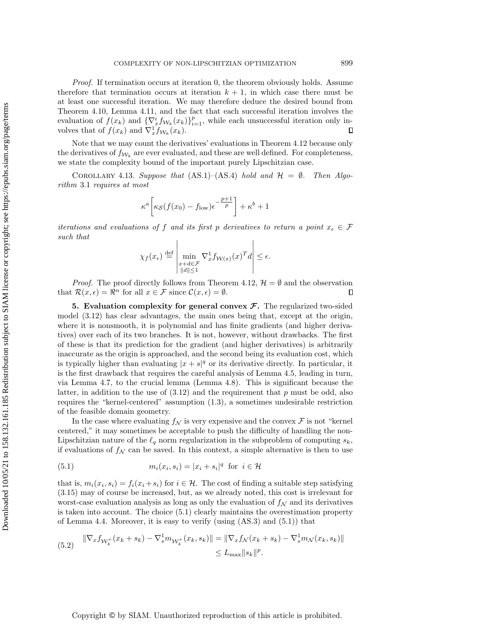Proof. If termination occurs at iteration 0, the theorem obviously holds. Assume therefore that termination occurs at iteration  $k + 1$ , in which case there must be at least one successful iteration. We may therefore deduce the desired bound from Theorem [4.10,](#page-22-6) Lemma [4.11,](#page-23-0) and the fact that each successful iteration involves the evaluation of  $f(x_k)$  and  $\{\nabla_x^i f_{\mathcal{W}_k}(x_k)\}_{i=1}^p$ , while each unsuccessful iteration only involves that of  $f(x_k)$  and  $\nabla_x^1 f_{\mathcal{W}_k}(x_k)$ .

Note that we may count the derivatives' evaluations in Theorem [4.12](#page-24-2) because only the derivatives of  $f_{W_k}$  are ever evaluated, and these are well defined. For completeness, we state the complexity bound of the important purely Lipschitzian case.

<span id="page-25-3"></span>COROLLARY 4.13. Suppose that  $(AS.1)$ – $(AS.4)$  hold and  $\mathcal{H} = \emptyset$ . Then Algorithm [3.1](#page-10-1) requires at most

$$
\kappa^a \bigg[ \kappa_{\mathcal{S}} (f(x_0) - f_{\text{low}}) \epsilon^{-\frac{p+1}{p}} \bigg] + \kappa^b + 1
$$

iterations and evaluations of f and its first p derivatives to return a point  $x_{\epsilon} \in \mathcal{F}$ such that

$$
\chi_f(x_\epsilon) \stackrel{\text{def}}{=} \left| \min_{\substack{x+d \in \mathcal{F} \\ \|d\| \le 1}} \nabla_x^1 f_{\mathcal{W}(x)}(x)^T d \right| \le \epsilon.
$$

*Proof.* The proof directly follows from Theorem [4.12,](#page-24-2)  $\mathcal{H} = \emptyset$  and the observation that  $\mathcal{R}(x,\epsilon) = \mathbb{R}^n$  for all  $x \in \mathcal{F}$  since  $\mathcal{C}(x,\epsilon) = \emptyset$ .  $\Box$ 

<span id="page-25-0"></span>5. Evaluation complexity for general convex  $\mathcal{F}$ . The regularized two-sided model [\(3.12\)](#page-7-3) has clear advantages, the main ones being that, except at the origin, where it is nonsmooth, it is polynomial and has finite gradients (and higher derivatives) over each of its two branches. It is not, however, without drawbacks. The first of these is that its prediction for the gradient (and higher derivatives) is arbitrarily inaccurate as the origin is approached, and the second being its evaluation cost, which is typically higher than evaluating  $|x + s|$ <sup>q</sup> or its derivative directly. In particular, it is the first drawback that requires the careful analysis of Lemma [4.5,](#page-13-4) leading in turn, via Lemma [4.7,](#page-16-0) to the crucial lemma (Lemma [4.8\)](#page-18-2). This is significant because the latter, in addition to the use of  $(3.12)$  and the requirement that p must be odd, also requires the "kernel-centered" assumption [\(1.3\)](#page-1-2), a sometimes undesirable restriction of the feasible domain geometry.

In the case where evaluating  $f_N$  is very expensive and the convex  $\mathcal F$  is not "kernel centered," it may sometimes be acceptable to push the difficulty of handling the non-Lipschitzian nature of the  $\ell_q$  norm regularization in the subproblem of computing  $s_k$ , if evaluations of  $f_N$  can be saved. In this context, a simple alternative is then to use

<span id="page-25-1"></span>(5.1) 
$$
m_i(x_i, s_i) = |x_i + s_i|^q \text{ for } i \in \mathcal{H}
$$

that is,  $m_i(x_i, s_i) = f_i(x_i + s_i)$  for  $i \in \mathcal{H}$ . The cost of finding a suitable step satisfying [\(3.15\)](#page-8-1) may of course be increased, but, as we already noted, this cost is irrelevant for worst-case evaluation analysis as long as only the evaluation of  $f_N$  and its derivatives is taken into account. The choice [\(5.1\)](#page-25-1) clearly maintains the overestimation property of Lemma [4.4.](#page-13-6) Moreover, it is easy to verify (using  $(AS.3)$  and  $(5.1)$ ) that

<span id="page-25-2"></span>
$$
(5.2) \quad \|\nabla_x f_{\mathcal{W}_k^+}(x_k + s_k) - \nabla_s^1 m_{\mathcal{W}_k^+}(x_k, s_k)\| = \|\nabla_x f_{\mathcal{N}}(x_k + s_k) - \nabla_s^1 m_{\mathcal{N}}(x_k, s_k)\| \n\leq L_{\text{max}} \|s_k\|^p.
$$

Copyright © by SIAM. Unauthorized reproduction of this article is prohibited.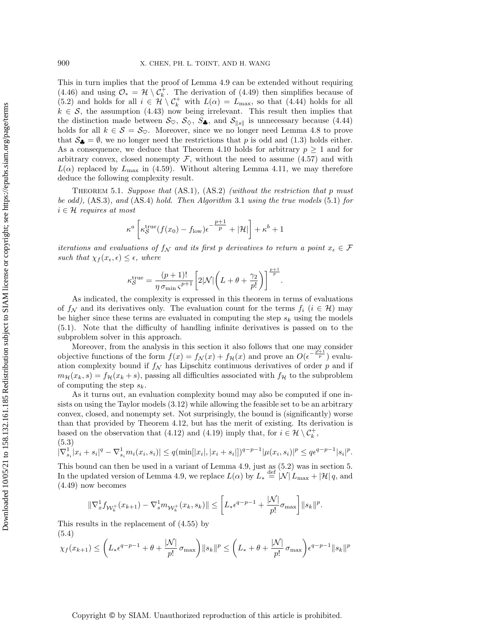This in turn implies that the proof of Lemma [4.9](#page-19-2) can be extended without requiring [\(4.46\)](#page-20-4) and using  $\mathcal{O}_* = \mathcal{H} \setminus \mathcal{C}_k^+$ . The derivation of [\(4.49\)](#page-20-1) then simplifies because of [\(5.2\)](#page-25-2) and holds for all  $i \in \mathcal{H} \setminus \mathcal{C}_k^+$  with  $L(\alpha) = L_{\text{max}}$ , so that [\(4.44\)](#page-20-3) holds for all  $k \in S$ , the assumption [\(4.43\)](#page-20-5) now being irrelevant. This result then implies that the distinction made between  $\mathcal{S}_{\heartsuit}$ ,  $\mathcal{S}_{\diamondsuit}$ ,  $\mathcal{S}_{\clubsuit}$ , and  $\mathcal{S}_{\parallel s\parallel}$  is unnecessary because [\(4.44\)](#page-20-3) holds for all  $k \in S = S_{\heartsuit}$ . Moreover, since we no longer need Lemma [4.8](#page-18-2) to prove that  $S_{\clubsuit} = \emptyset$ , we no longer need the restrictions that p is odd and [\(1.3\)](#page-1-2) holds either. As a consequence, we deduce that Theorem [4.10](#page-22-6) holds for arbitrary  $p \geq 1$  and for arbitrary convex, closed nonempty  $\mathcal{F}$ , without the need to assume [\(4.57\)](#page-22-3) and with  $L(\alpha)$  replaced by  $L_{\text{max}}$  in [\(4.59\)](#page-22-4). Without altering Lemma [4.11,](#page-23-0) we may therefore deduce the following complexity result.

<span id="page-26-0"></span>THEOREM 5.1. Suppose that  $(AS.1)$ ,  $(AS.2)$  (without the restriction that p must be odd), (AS.3), and (AS.4) hold. Then Algorithm [3.1](#page-10-1) using the true models [\(5.1\)](#page-25-1) for  $i \in \mathcal{H}$  requires at most

$$
\kappa^a \left[ \kappa_{\mathcal{S}}^{\mathrm{true}}(f(x_0) - f_{\mathrm{low}}) \epsilon^{-\tfrac{p+1}{p}} + |\mathcal{H}| \right] + \kappa^b + 1
$$

iterations and evaluations of  $f_N$  and its first p derivatives to return a point  $x_{\epsilon} \in \mathcal{F}$ such that  $\chi_f(x_\epsilon, \epsilon) \leq \epsilon$ , where

$$
\kappa_{\mathcal{S}}^{\text{true}} = \frac{(p+1)!}{\eta \,\sigma_{\min} \,\varsigma^{p+1}} \bigg[ 2|\mathcal{N}| \bigg(L + \theta + \frac{\gamma_2}{p!}\bigg) \bigg]^{\frac{p+1}{p}}.
$$

As indicated, the complexity is expressed in this theorem in terms of evaluations of  $f_N$  and its derivatives only. The evaluation count for the terms  $f_i$   $(i \in \mathcal{H})$  may be higher since these terms are evaluated in computing the step  $s_k$  using the models [\(5.1\)](#page-25-1). Note that the difficulty of handling infinite derivatives is passed on to the subproblem solver in this approach.

Moreover, from the analysis in this section it also follows that one may consider objective functions of the form  $f(x) = f_{\mathcal{N}}(x) + f_{\mathcal{H}}(x)$  and prove an  $O(\epsilon^{-\frac{p'+1}{p}})$  evaluation complexity bound if  $f_N$  has Lipschitz continuous derivatives of order p and if  $m_{\mathcal{H}}(x_k, s) = f_{\mathcal{H}}(x_k + s)$ , passing all difficulties associated with  $f_{\mathcal{H}}$  to the subproblem of computing the step  $s_k$ .

As it turns out, an evaluation complexity bound may also be computed if one insists on using the Taylor models [\(3.12\)](#page-7-3) while allowing the feasible set to be an arbitrary convex, closed, and nonempty set. Not surprisingly, the bound is (significantly) worse than that provided by Theorem [4.12,](#page-24-2) but has the merit of existing. Its derivation is based on the observation that [\(4.12\)](#page-13-1) and [\(4.19\)](#page-14-5) imply that, for  $i \in \mathcal{H} \setminus \mathcal{C}_k^+$ , (5.3)

 $|\nabla_{s_i}^1 | x_i + s_i|^q - \nabla_{s_i}^1 m_i(x_i, s_i)| \leq q(\min[|x_i|, |x_i + s_i|])^{q-p-1} |\mu(x_i, s_i)|^p \leq q \epsilon^{q-p-1} |s_i|^p.$ 

This bound can then be used in a variant of Lemma [4.9,](#page-19-2) just as [\(5.2\)](#page-25-2) was in section [5.](#page-25-0) In the updated version of Lemma [4.9,](#page-19-2) we replace  $L(\alpha)$  by  $L_* \stackrel{\text{def}}{=} |\mathcal{N}|L_{\max} + |\mathcal{H}|q$ , and [\(4.49\)](#page-20-1) now becomes

$$
\|\nabla_x^1 f_{\mathcal{W}_k^+}(x_{k+1}) - \nabla_s^1 m_{\mathcal{W}_k^+}(x_k, s_k)\| \le \left[L_*\epsilon^{q-p-1} + \frac{|\mathcal{N}|}{p!}\sigma_{\max}\right] \|s_k\|^p.
$$

This results in the replacement of [\(4.55\)](#page-21-4) by (5.4)

<span id="page-26-1"></span>
$$
\chi_f(x_{k+1}) \le \left( L_* \epsilon^{q-p-1} + \theta + \frac{|\mathcal{N}|}{p!} \sigma_{\max} \right) \|s_k\|^p \le \left( L_* + \theta + \frac{|\mathcal{N}|}{p!} \sigma_{\max} \right) \epsilon^{q-p-1} \|s_k\|^p
$$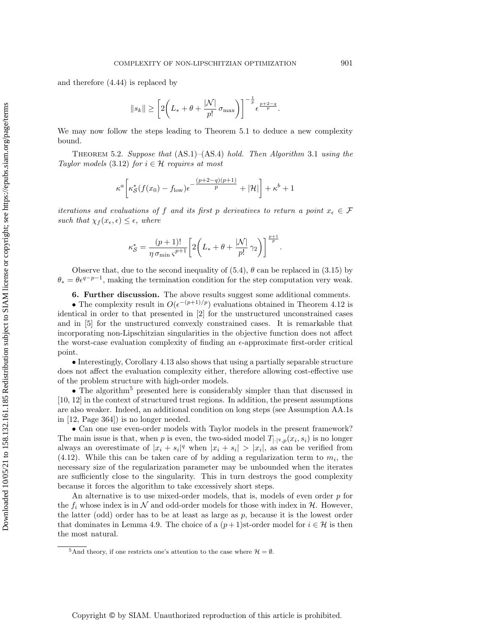and therefore [\(4.44\)](#page-20-3) is replaced by

$$
||s_k|| \geq \left[2\left(L_*+\theta+\frac{|\mathcal{N}|}{p!}\,\sigma_{\max}\right)\right]^{-\frac{1}{p}}\epsilon^{\frac{p+2-q}{p}}.
$$

We may now follow the steps leading to Theorem [5.1](#page-26-0) to deduce a new complexity bound.

THEOREM 5.2. Suppose that  $(AS.1)$ – $(AS.4)$  hold. Then Algorithm [3.1](#page-10-1) using the Taylor models [\(3.12\)](#page-7-3) for  $i \in \mathcal{H}$  requires at most

$$
\kappa^a \bigg[ \kappa^*_{\mathcal{S}}(f(x_0) - f_{\text{low}}) \epsilon^{-\frac{(p+2-q)(p+1)}{p}} + |\mathcal{H}| \bigg] + \kappa^b + 1
$$

iterations and evaluations of f and its first p derivatives to return a point  $x_{\epsilon} \in \mathcal{F}$ such that  $\chi_f(x_\epsilon, \epsilon) \leq \epsilon$ , where

$$
\kappa_{\mathcal{S}}^* = \frac{(p+1)!}{\eta \sigma_{\min} \, \varsigma^{p+1}} \bigg[ 2 \bigg( L_* + \theta + \frac{|\mathcal{N}|}{p!} \, \gamma_2 \bigg) \bigg]^\frac{p+1}{p}.
$$

Observe that, due to the second inequality of  $(5.4)$ ,  $\theta$  can be replaced in  $(3.15)$  by  $\theta_* = \theta \epsilon^{q-p-1}$ , making the termination condition for the step computation very weak.

6. Further discussion. The above results suggest some additional comments.

<span id="page-27-0"></span>• The complexity result in  $O(\epsilon^{-(p+1)/p})$  evaluations obtained in Theorem [4.12](#page-24-2) is identical in order to that presented in [\[2\]](#page-28-0) for the unstructured unconstrained cases and in [\[5\]](#page-29-18) for the unstructured convexly constrained cases. It is remarkable that incorporating non-Lipschitzian singularities in the objective function does not affect the worst-case evaluation complexity of finding an  $\epsilon$ -approximate first-order critical point.

• Interestingly, Corollary [4.13](#page-25-3) also shows that using a partially separable structure does not affect the evaluation complexity either, therefore allowing cost-effective use of the problem structure with high-order models.

• The algorithm<sup>[5](#page-27-1)</sup> presented here is considerably simpler than that discussed in [\[10,](#page-29-13) [12\]](#page-29-14) in the context of structured trust regions. In addition, the present assumptions are also weaker. Indeed, an additional condition on long steps (see Assumption AA.1s in [\[12,](#page-29-14) Page 364]) is no longer needed.

• Can one use even-order models with Taylor models in the present framework? The main issue is that, when p is even, the two-sided model  $T_{|\cdot|^q,p}(x_i,s_i)$  is no longer always an overestimate of  $|x_i + s_i|^q$  when  $|x_i + s_i| > |x_i|$ , as can be verified from  $(4.12)$ . While this can be taken care of by adding a regularization term to  $m_i$ , the necessary size of the regularization parameter may be unbounded when the iterates are sufficiently close to the singularity. This in turn destroys the good complexity because it forces the algorithm to take excessively short steps.

An alternative is to use mixed-order models, that is, models of even order  $p$  for the  $f_i$  whose index is in N and odd-order models for those with index in H. However, the latter (odd) order has to be at least as large as  $p$ , because it is the lowest order that dominates in Lemma [4.9.](#page-19-2) The choice of a  $(p+1)$ st-order model for  $i \in \mathcal{H}$  is then the most natural.

<span id="page-27-1"></span><sup>&</sup>lt;sup>5</sup>And theory, if one restricts one's attention to the case where  $\mathcal{H} = \emptyset$ .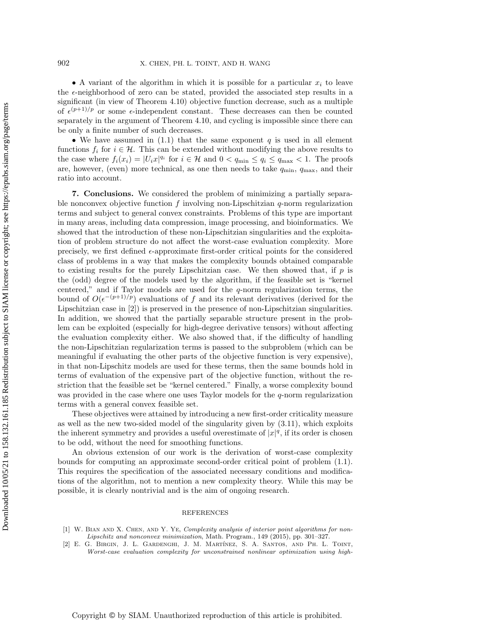• A variant of the algorithm in which it is possible for a particular  $x_i$  to leave the  $\epsilon$ -neighborhood of zero can be stated, provided the associated step results in a significant (in view of Theorem [4.10\)](#page-22-6) objective function decrease, such as a multiple of  $\epsilon^{(p+1)/p}$  or some  $\epsilon$ -independent constant. These decreases can then be counted separately in the argument of Theorem [4.10,](#page-22-6) and cycling is impossible since there can be only a finite number of such decreases.

• We have assumed in [\(1.1\)](#page-0-1) that the same exponent q is used in all element functions  $f_i$  for  $i \in \mathcal{H}$ . This can be extended without modifying the above results to the case where  $f_i(x_i) = |U_i x|^{q_i}$  for  $i \in \mathcal{H}$  and  $0 < q_{\min} \le q_i \le q_{\max} < 1$ . The proofs are, however, (even) more technical, as one then needs to take  $q_{\min}$ ,  $q_{\max}$ , and their ratio into account.

<span id="page-28-1"></span>7. Conclusions. We considered the problem of minimizing a partially separable nonconvex objective function  $f$  involving non-Lipschitzian  $q$ -norm regularization terms and subject to general convex constraints. Problems of this type are important in many areas, including data compression, image processing, and bioinformatics. We showed that the introduction of these non-Lipschitzian singularities and the exploitation of problem structure do not affect the worst-case evaluation complexity. More precisely, we first defined  $\epsilon$ -approximate first-order critical points for the considered class of problems in a way that makes the complexity bounds obtained comparable to existing results for the purely Lipschitzian case. We then showed that, if  $p$  is the (odd) degree of the models used by the algorithm, if the feasible set is "kernel centered," and if Taylor models are used for the q-norm regularization terms, the bound of  $O(\epsilon^{-(p+1)/p})$  evaluations of f and its relevant derivatives (derived for the Lipschitzian case in [\[2\]](#page-28-0)) is preserved in the presence of non-Lipschitzian singularities. In addition, we showed that the partially separable structure present in the problem can be exploited (especially for high-degree derivative tensors) without affecting the evaluation complexity either. We also showed that, if the difficulty of handling the non-Lipschitzian regularization terms is passed to the subproblem (which can be meaningful if evaluating the other parts of the objective function is very expensive), in that non-Lipschitz models are used for these terms, then the same bounds hold in terms of evaluation of the expensive part of the objective function, without the restriction that the feasible set be "kernel centered." Finally, a worse complexity bound was provided in the case where one uses Taylor models for the q-norm regularization terms with a general convex feasible set.

These objectives were attained by introducing a new first-order criticality measure as well as the new two-sided model of the singularity given by [\(3.11\)](#page-7-2), which exploits the inherent symmetry and provides a useful overestimate of  $|x|^q$ , if its order is chosen to be odd, without the need for smoothing functions.

An obvious extension of our work is the derivation of worst-case complexity bounds for computing an approximate second-order critical point of problem [\(1.1\)](#page-0-1). This requires the specification of the associated necessary conditions and modifications of the algorithm, not to mention a new complexity theory. While this may be possible, it is clearly nontrivial and is the aim of ongoing research.

## REFERENCES

- <span id="page-28-2"></span>[1] W. BIAN AND X. CHEN, AND Y. YE, Complexity analysis of interior point algorithms for non-Lipschitz and nonconvex minimization, Math. Program., 149 (2015), pp. 301–327.<br>[2] E. G. Birgin, J. L. Gardenghi, J. M. Martínez, S. A. Santos, and Ph. L. Toint,
- <span id="page-28-0"></span>Worst-case evaluation complexity for unconstrained nonlinear optimization using high-